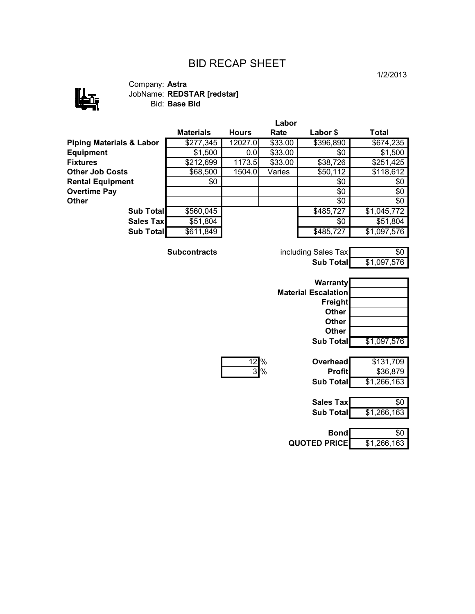## BID RECAP SHEET



Company: **Astra** JobName: **REDSTAR [redstar]** Bid: **Base Bid**

|                                     |                     |              | Labor   |                            |             |
|-------------------------------------|---------------------|--------------|---------|----------------------------|-------------|
|                                     | <b>Materials</b>    | <b>Hours</b> | Rate    | Labor \$                   | Total       |
| <b>Piping Materials &amp; Labor</b> | \$277,345           | 12027.0      | \$33.00 | \$396,890                  | \$674,235   |
| <b>Equipment</b>                    | \$1,500             | 0.0          | \$33.00 | \$0                        | \$1,500     |
| <b>Fixtures</b>                     | \$212,699           | 1173.5       | \$33.00 | \$38,726                   | \$251,425   |
| <b>Other Job Costs</b>              | \$68,500            | 1504.0       | Varies  | \$50,112                   | \$118,612   |
| <b>Rental Equipment</b>             | \$0                 |              |         | \$0                        | \$0         |
| <b>Overtime Pay</b>                 |                     |              |         | \$0                        | \$0         |
| Other                               |                     |              |         | \$0                        | \$0         |
| <b>Sub Total</b>                    | \$560,045           |              |         | \$485,727                  | \$1,045,772 |
| <b>Sales Tax</b>                    | \$51,804            |              |         | $\overline{50}$            | \$51,804    |
| Sub Total                           | \$611,849           |              |         | \$485,727                  | \$1,097,576 |
|                                     | <b>Subcontracts</b> |              |         | including Sales Tax        | $\sqrt{6}$  |
|                                     |                     |              |         | <b>Sub Total</b>           | \$1,097,576 |
|                                     |                     |              |         | <b>Warranty</b>            |             |
|                                     |                     |              |         | <b>Material Escalation</b> |             |
|                                     |                     |              |         | <b>Freight</b>             |             |
|                                     |                     |              |         | <b>Other</b>               |             |
|                                     |                     |              |         | <b>Other</b>               |             |
|                                     |                     |              |         | <b>Other</b>               |             |
|                                     |                     |              |         | <b>Sub Total</b>           | \$1,097,576 |

|    | י |
|----|---|
| ۰. | v |

| $12\%$ | <b>Overhead</b>  | \$131,709   |
|--------|------------------|-------------|
| 3%     | <b>Profit</b>    | \$36,879    |
|        | <b>Sub Total</b> | \$1,266,163 |
|        |                  |             |

| Sales Tax | . κο        |
|-----------|-------------|
| Sub Total | \$1,266,163 |

| <b>Bond</b>         | ግን          |
|---------------------|-------------|
| <b>QUOTED PRICE</b> | \$1,266,163 |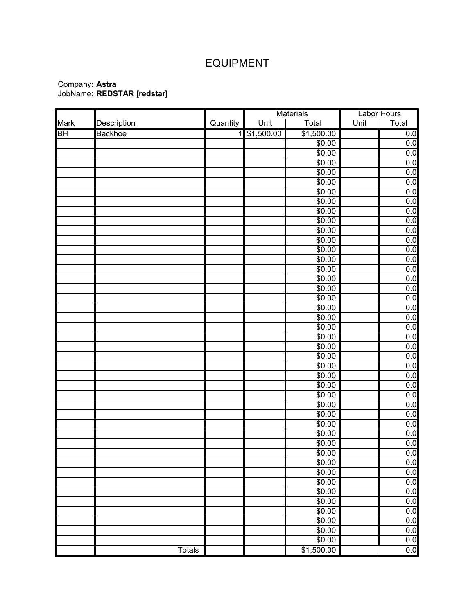## EQUIPMENT

|      |                |          | Materials  |                | Labor Hours |       |
|------|----------------|----------|------------|----------------|-------------|-------|
| Mark | Description    | Quantity | Unit       | Total          | Unit        | Total |
| BH   | <b>Backhoe</b> | 11       | \$1,500.00 | \$1,500.00     |             | 0.0   |
|      |                |          |            | \$0.00         |             | 0.0   |
|      |                |          |            | \$0.00         |             | 0.0   |
|      |                |          |            | \$0.00         |             | 0.0   |
|      |                |          |            | $\sqrt{$0.00}$ |             | 0.0   |
|      |                |          |            | \$0.00         |             | 0.0   |
|      |                |          |            | \$0.00         |             | 0.0   |
|      |                |          |            | \$0.00         |             | 0.0   |
|      |                |          |            | \$0.00         |             | 0.0   |
|      |                |          |            | \$0.00         |             | 0.0   |
|      |                |          |            | \$0.00         |             | 0.0   |
|      |                |          |            | \$0.00         |             | 0.0   |
|      |                |          |            | \$0.00         |             | 0.0   |
|      |                |          |            | \$0.00         |             | 0.0   |
|      |                |          |            | \$0.00         |             | 0.0   |
|      |                |          |            | \$0.00         |             | 0.0   |
|      |                |          |            | $\sqrt{$0.00}$ |             | 0.0   |
|      |                |          |            | \$0.00         |             | 0.0   |
|      |                |          |            | \$0.00         |             | 0.0   |
|      |                |          |            | \$0.00         |             | 0.0   |
|      |                |          |            | \$0.00         |             | 0.0   |
|      |                |          |            | \$0.00         |             | 0.0   |
|      |                |          |            | \$0.00         |             | 0.0   |
|      |                |          |            | \$0.00         |             | 0.0   |
|      |                |          |            | \$0.00         |             | 0.0   |
|      |                |          |            | \$0.00         |             | 0.0   |
|      |                |          |            | \$0.00         |             | 0.0   |
|      |                |          |            | \$0.00         |             | 0.0   |
|      |                |          |            | \$0.00         |             | 0.0   |
|      |                |          |            | \$0.00         |             | 0.0   |
|      |                |          |            | \$0.00         |             | 0.0   |
|      |                |          |            | \$0.00         |             | 0.0   |
|      |                |          |            | \$0.00         |             | 0.0   |
|      |                |          |            | \$0.00         |             | 0.0   |
|      |                |          |            | \$0.00         |             | 0.0   |
|      |                |          |            | \$0.00         |             | 0.0   |
|      |                |          |            | \$0.00         |             | 0.0   |
|      |                |          |            | \$0.00         |             | 0.0   |
|      |                |          |            | $\sqrt{$0.00}$ |             | 0.0   |
|      |                |          |            | \$0.00         |             | 0.0   |
|      |                |          |            | \$0.00         |             | 0.0   |
|      |                |          |            | \$0.00         |             | 0.0   |
|      |                |          |            | \$0.00         |             | 0.0   |
|      | <b>Totals</b>  |          |            | \$1,500.00     |             | 0.0   |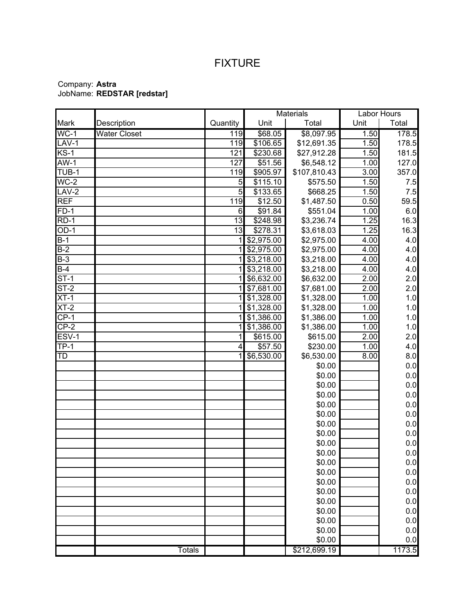## FIXTURE

|                          |                     |          | <b>Materials</b>  |              |                   | Labor Hours |
|--------------------------|---------------------|----------|-------------------|--------------|-------------------|-------------|
| Mark                     | Description         | Quantity | Unit              | Total        | Unit              | Total       |
| $\overline{WC-1}$        | <b>Water Closet</b> | 119      | \$68.05           | \$8,097.95   | 1.50              | 178.5       |
| LAV-1                    |                     | 119      | \$106.65          | \$12,691.35  | 1.50              | 178.5       |
| $KS-1$                   |                     | 121      | \$230.68          | \$27,912.28  | 1.50              | 181.5       |
| $AW-1$                   |                     | 127      | \$51.56           | \$6,548.12   | 1.00              | 127.0       |
| TUB-1                    |                     | 119      | \$905.97          | \$107,810.43 | 3.00              | 357.0       |
| $\overline{\text{WC-2}}$ |                     | 5        | \$115.10          | \$575.50     | 1.50              | 7.5         |
| $LAV-2$                  |                     | 5        | \$133.65          | \$668.25     | 1.50              | 7.5         |
| <b>REF</b>               |                     | 119      | \$12.50           | \$1,487.50   | 0.50              | 59.5        |
| $FD-1$                   |                     | 6        | \$91.84           | \$551.04     | 1.00              | 6.0         |
| $RD-1$                   |                     | 13       | $\sqrt{$248.98}$  | \$3,236.74   | 1.25              | 16.3        |
| $OD-1$                   |                     | 13       | \$278.31          | \$3,618.03   | 1.25              | 16.3        |
| $B-1$                    |                     |          | \$2,975.00        | \$2,975.00   | 4.00              | 4.0         |
| $B-2$                    |                     |          | \$2,975.00        | \$2,975.00   | 4.00              | 4.0         |
| $B-3$                    |                     | 1        | \$3,218.00        | \$3,218.00   | 4.00              | 4.0         |
| $B-4$                    |                     | 1        | \$3,218.00        | \$3,218.00   | 4.00              | 4.0         |
| $ST-1$                   |                     | 1        | $\sqrt{6,632.00}$ | \$6,632.00   | 2.00              | 2.0         |
| $ST-2$                   |                     |          | \$7,681.00        | \$7,681.00   | 2.00              | 2.0         |
| $XT-1$                   |                     |          | \$1,328.00        | \$1,328.00   | 1.00              | 1.0         |
| $XT-2$                   |                     | 1        | \$1,328.00        | \$1,328.00   | 1.00              | 1.0         |
| $CP-1$                   |                     |          | \$1,386.00        | \$1,386.00   | 1.00              | 1.0         |
| $CP-2$                   |                     |          | \$1,386.00        | \$1,386.00   | $\overline{1.00}$ | 1.0         |
| ESV-1                    |                     | 1        | \$615.00          | \$615.00     | 2.00              | 2.0         |
| <b>TP-1</b>              |                     | 4        | \$57.50           | \$230.00     | 1.00              | 4.0         |
| <b>TD</b>                |                     |          | \$6,530.00        | \$6,530.00   | 8.00              | 8.0         |
|                          |                     |          |                   | \$0.00       |                   | 0.0         |
|                          |                     |          |                   | \$0.00       |                   | 0.0         |
|                          |                     |          |                   | \$0.00       |                   | 0.0         |
|                          |                     |          |                   | \$0.00       |                   | 0.0         |
|                          |                     |          |                   | \$0.00       |                   | 0.0         |
|                          |                     |          |                   | \$0.00       |                   | 0.0         |
|                          |                     |          |                   | \$0.00       |                   | 0.0         |
|                          |                     |          |                   | \$0.00       |                   | 0.0         |
|                          |                     |          |                   | \$0.00       |                   | 0.0         |
|                          |                     |          |                   | \$0.00       |                   | 0.0         |
|                          |                     |          |                   | \$0.00       |                   | 0.0         |
|                          |                     |          |                   | \$0.00       |                   | 0.0         |
|                          |                     |          |                   | \$0.00       |                   | 0.0         |
|                          |                     |          |                   | \$0.00       |                   | 0.0         |
|                          |                     |          |                   | \$0.00       |                   | 0.0         |
|                          |                     |          |                   | \$0.00       |                   | 0.0         |
|                          |                     |          |                   | \$0.00       |                   | 0.0         |
|                          |                     |          |                   | \$0.00       |                   | 0.0         |
|                          |                     |          |                   | \$0.00       |                   | 0.0         |
|                          | <b>Totals</b>       |          |                   | \$212,699.19 |                   | 1173.5      |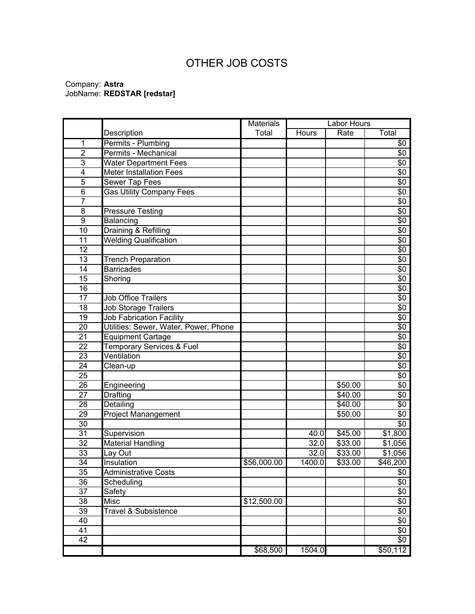# OTHER JOB COSTS

|                         |                                       | <b>Materials</b> |        | Labor Hours |                 |
|-------------------------|---------------------------------------|------------------|--------|-------------|-----------------|
|                         | Description                           | Total            | Hours  | Rate        | Total           |
| 1                       | Permits - Plumbing                    |                  |        |             | $\overline{50}$ |
| $\overline{2}$          | Permits - Mechanical                  |                  |        |             | \$0             |
| $\overline{3}$          | <b>Water Department Fees</b>          |                  |        |             | \$0             |
| $\overline{\mathbf{4}}$ | <b>Meter Installation Fees</b>        |                  |        |             | \$0             |
| 5                       | Sewer Tap Fees                        |                  |        |             | \$0             |
| $\overline{6}$          | <b>Gas Utility Company Fees</b>       |                  |        |             | $\sqrt{6}$      |
| $\overline{7}$          |                                       |                  |        |             | \$0             |
| $\overline{8}$          | <b>Pressure Testing</b>               |                  |        |             | \$0             |
| $\boldsymbol{9}$        | Balancing                             |                  |        |             | \$0             |
| 10                      | Draining & Refilling                  |                  |        |             | \$0             |
| 11                      | <b>Welding Qualification</b>          |                  |        |             | \$0             |
| 12                      |                                       |                  |        |             | \$0             |
| 13                      | <b>Trench Preparation</b>             |                  |        |             | \$0             |
| 14                      | <b>Barricades</b>                     |                  |        |             | \$0             |
| 15                      | Shoring                               |                  |        |             | \$0             |
| 16                      |                                       |                  |        |             | \$0             |
| 17                      | <b>Job Office Trailers</b>            |                  |        |             | \$0             |
| 18                      | Job Storage Trailers                  |                  |        |             | \$0             |
| 19                      | <b>Job Fabrication Facility</b>       |                  |        |             | $\sqrt{6}$      |
| 20                      | Utilities: Sewer, Water, Power, Phone |                  |        |             | \$0             |
| 21                      | <b>Equipment Cartage</b>              |                  |        |             | \$0             |
| $\overline{22}$         | <b>Temporary Services &amp; Fuel</b>  |                  |        |             | $\sqrt{6}$      |
| 23                      | Ventilation                           |                  |        |             | \$0             |
| 24                      | Clean-up                              |                  |        |             | \$0             |
| $\overline{25}$         |                                       |                  |        |             | \$0             |
| 26                      | Engineering                           |                  |        | \$50.00     | \$0             |
| 27                      | Drafting                              |                  |        | \$40.00     | \$0             |
| $\overline{28}$         | Detailing                             |                  |        | \$40.00     | \$0             |
| $\overline{29}$         | Project Manangement                   |                  |        | \$50.00     | \$0             |
| 30                      |                                       |                  |        |             | \$0             |
| 31                      | Supervision                           |                  | 40.0   | \$45.00     | \$1,800         |
| $\overline{32}$         | <b>Material Handling</b>              |                  | 32.0   | \$33.00     | \$1,056         |
| $\overline{33}$         | Lay Out                               |                  | 32.0   | \$33.00     | \$1,056         |
| 34                      | Insulation                            | \$56,000.00      | 1400.0 | \$33.00     | \$46,200        |
| 35                      | <b>Administrative Costs</b>           |                  |        |             | \$0             |
| 36                      | Scheduling                            |                  |        |             | \$0             |
| 37                      | Safety                                |                  |        |             | \$0             |
| 38                      | <b>Misc</b>                           | \$12,500.00      |        |             | \$0             |
| 39                      | Travel & Subsistence                  |                  |        |             | \$0             |
| 40                      |                                       |                  |        |             | \$0             |
| 41                      |                                       |                  |        |             | \$0             |
| $\overline{42}$         |                                       |                  |        |             | \$0             |
|                         |                                       | \$68,500         | 1504.0 |             | \$50,112        |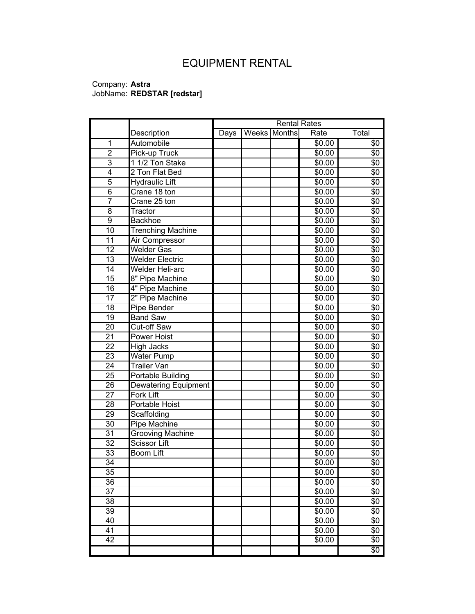# EQUIPMENT RENTAL

|                 |                          | <b>Rental Rates</b> |  |              |        |            |
|-----------------|--------------------------|---------------------|--|--------------|--------|------------|
|                 | Description              | Days                |  | Weeks Months | Rate   | Total      |
| 1               | Automobile               |                     |  |              | \$0.00 | \$0        |
| $\overline{2}$  | Pick-up Truck            |                     |  |              | \$0.00 | \$0        |
| 3               | 1 1/2 Ton Stake          |                     |  |              | \$0.00 | \$0        |
| 4               | 2 Ton Flat Bed           |                     |  |              | \$0.00 | \$0        |
| 5               | <b>Hydraulic Lift</b>    |                     |  |              | \$0.00 | \$0        |
| $\overline{6}$  | Crane 18 ton             |                     |  |              | \$0.00 | \$0        |
| $\overline{7}$  | Crane $25$ ton           |                     |  |              | \$0.00 | \$0        |
| 8               | Tractor                  |                     |  |              | \$0.00 | \$0        |
| 9               | <b>Backhoe</b>           |                     |  |              | \$0.00 | \$0        |
| 10              | <b>Trenching Machine</b> |                     |  |              | \$0.00 | \$0        |
| $\overline{11}$ | Air Compressor           |                     |  |              | \$0.00 | \$0        |
| $\overline{12}$ | <b>Welder Gas</b>        |                     |  |              | \$0.00 | \$0        |
| 13              | <b>Welder Electric</b>   |                     |  |              | \$0.00 | \$0        |
| 14              | Welder Heli-arc          |                     |  |              | \$0.00 | \$0        |
| 15              | 8" Pipe Machine          |                     |  |              | \$0.00 | \$0        |
| 16              | 4" Pipe Machine          |                     |  |              | \$0.00 | \$0        |
| 17              | 2" Pipe Machine          |                     |  |              | \$0.00 | \$0        |
| 18              | Pipe Bender              |                     |  |              | \$0.00 | \$0        |
| 19              | <b>Band Saw</b>          |                     |  |              | \$0.00 | \$0        |
| 20              | Cut-off Saw              |                     |  |              | \$0.00 | \$0        |
| $\overline{21}$ | <b>Power Hoist</b>       |                     |  |              | \$0.00 | \$0        |
| $\overline{22}$ | <b>High Jacks</b>        |                     |  |              | \$0.00 | \$0        |
| 23              | <b>Water Pump</b>        |                     |  |              | \$0.00 | \$0        |
| $\overline{24}$ | <b>Trailer Van</b>       |                     |  |              | \$0.00 | \$0        |
| 25              | Portable Building        |                     |  |              | \$0.00 | \$0        |
| 26              | Dewatering Equipment     |                     |  |              | \$0.00 | \$0        |
| 27              | Fork Lift                |                     |  |              | \$0.00 | \$0        |
| 28              | Portable Hoist           |                     |  |              | \$0.00 | \$0        |
| 29              | Scaffolding              |                     |  |              | \$0.00 | \$0        |
| 30              | Pipe Machine             |                     |  |              | \$0.00 | \$0        |
| 31              | <b>Grooving Machine</b>  |                     |  |              | \$0.00 | \$0        |
| 32              | Scissor Lift             |                     |  |              | \$0.00 | \$0        |
| 33              | <b>Boom Lift</b>         |                     |  |              | \$0.00 | \$0        |
| 34              |                          |                     |  |              | \$0.00 | \$0        |
| 35              |                          |                     |  |              | \$0.00 | \$0        |
| 36              |                          |                     |  |              | \$0.00 | \$0        |
| 37              |                          |                     |  |              | \$0.00 | \$0        |
| 38              |                          |                     |  |              | \$0.00 | \$0        |
| 39              |                          |                     |  |              | \$0.00 | \$0        |
| 40              |                          |                     |  |              | \$0.00 | \$0        |
| 41              |                          |                     |  |              | \$0.00 | \$0        |
| 42              |                          |                     |  |              | \$0.00 | \$0        |
|                 |                          |                     |  |              |        | $\sqrt{6}$ |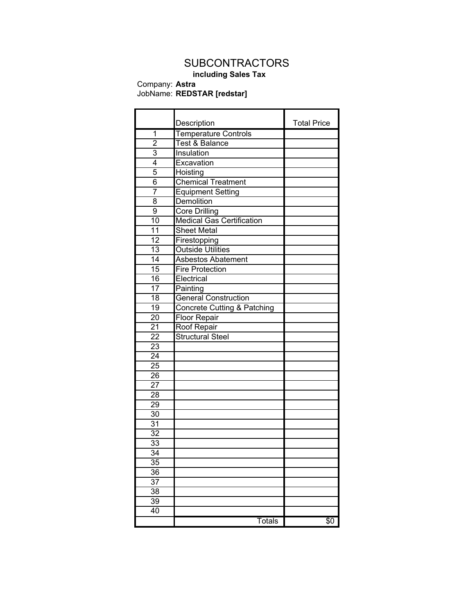## **SUBCONTRACTORS**

### **including Sales Tax** Company: **Astra**

### JobName: **REDSTAR [redstar]**

|                 | Description                            | <b>Total Price</b> |
|-----------------|----------------------------------------|--------------------|
| 1               | <b>Temperature Controls</b>            |                    |
| $\overline{2}$  | <b>Test &amp; Balance</b>              |                    |
| $\overline{3}$  | Insulation                             |                    |
| 4               | Excavation                             |                    |
| 5               | Hoisting                               |                    |
| $\overline{6}$  | <b>Chemical Treatment</b>              |                    |
| 7               | <b>Equipment Setting</b>               |                    |
| 8               | Demolition                             |                    |
| 9               | <b>Core Drilling</b>                   |                    |
| 10              | <b>Medical Gas Certification</b>       |                    |
| $\overline{11}$ | <b>Sheet Metal</b>                     |                    |
| $\overline{12}$ | Firestopping                           |                    |
| $\overline{13}$ | <b>Outside Utilities</b>               |                    |
| $\overline{14}$ | <b>Asbestos Abatement</b>              |                    |
| $\overline{15}$ | <b>Fire Protection</b>                 |                    |
| $\overline{16}$ | Electrical                             |                    |
| 17              | Painting                               |                    |
| $\overline{18}$ | <b>General Construction</b>            |                    |
| 19              | <b>Concrete Cutting &amp; Patching</b> |                    |
| 20              | <b>Floor Repair</b>                    |                    |
| $2\overline{1}$ | Roof Repair                            |                    |
| $\overline{22}$ | <b>Structural Steel</b>                |                    |
| 23              |                                        |                    |
| 24              |                                        |                    |
| $\overline{25}$ |                                        |                    |
| 26              |                                        |                    |
| $\overline{27}$ |                                        |                    |
| $\overline{28}$ |                                        |                    |
| 29              |                                        |                    |
| $\overline{30}$ |                                        |                    |
| 31              |                                        |                    |
| 32              |                                        |                    |
| 33              |                                        |                    |
| 34              |                                        |                    |
| 35              |                                        |                    |
| 36              |                                        |                    |
| 37              |                                        |                    |
| $\overline{38}$ |                                        |                    |
| 39              |                                        |                    |
| 40              |                                        |                    |
|                 | <b>Totals</b>                          | \$0                |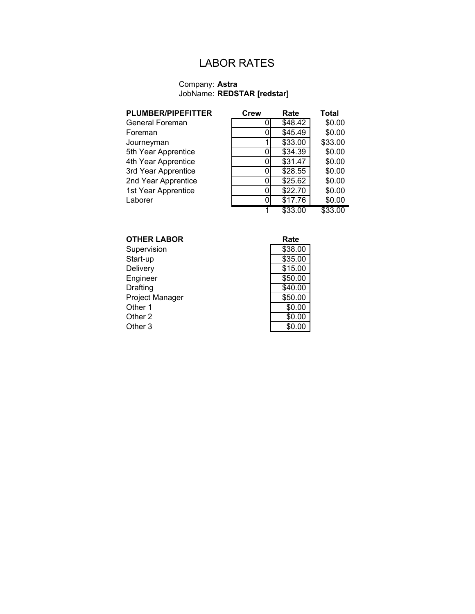## LABOR RATES

| <b>PLUMBER/PIPEFITTER</b> | Crew | Rate    | Total   |
|---------------------------|------|---------|---------|
| General Foreman           | O    | \$48.42 | \$0.00  |
| Foreman                   |      | \$45.49 | \$0.00  |
| Journeyman                |      | \$33.00 | \$33.00 |
| 5th Year Apprentice       |      | \$34.39 | \$0.00  |
| 4th Year Apprentice       | 0    | \$31.47 | \$0.00  |
| 3rd Year Apprentice       | ი    | \$28.55 | \$0.00  |
| 2nd Year Apprentice       |      | \$25.62 | \$0.00  |
| 1st Year Apprentice       | O    | \$22.70 | \$0.00  |
| Laborer                   | n    | \$17.76 | \$0.00  |
|                           |      | \$33.00 | \$33.00 |

| <b>OTHER LABOR</b>     | Rate    |
|------------------------|---------|
| Supervision            | \$38.00 |
| Start-up               | \$35.00 |
| Delivery               | \$15.00 |
| Engineer               | \$50.00 |
| Drafting               | \$40.00 |
| <b>Project Manager</b> | \$50.00 |
| Other 1                | \$0.00  |
| Other 2                | \$0.00  |
| Other 3                | \$0.00  |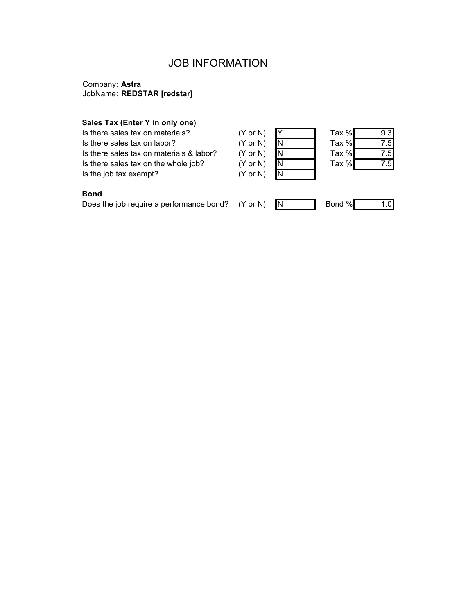### JOB INFORMATION

### Company: **Astra** JobName: **REDSTAR [redstar]**

#### **Sales Tax (Enter Y in only one)**

Is there sales tax on materials? (Y Is there sales tax on labor? (Y Is there sales tax on materials & labor? (Y Is there sales tax on the whole job? (Y Is the job tax exempt? (Y

| $^{\prime}$ or N) |   |
|-------------------|---|
| $^{\prime}$ or N) | N |
| $^{\prime}$ or N) | N |
| $^{\prime}$ or N) | N |
| $^{\prime}$ or N) | Ñ |

| Tax % |                |
|-------|----------------|
| Tax % | $\overline{5}$ |
| Tax % |                |
| Tax % |                |
|       |                |

### **Bond**

Does the job require a performance bond?  $(Y \text{ or } N)$  N Bond % 1.0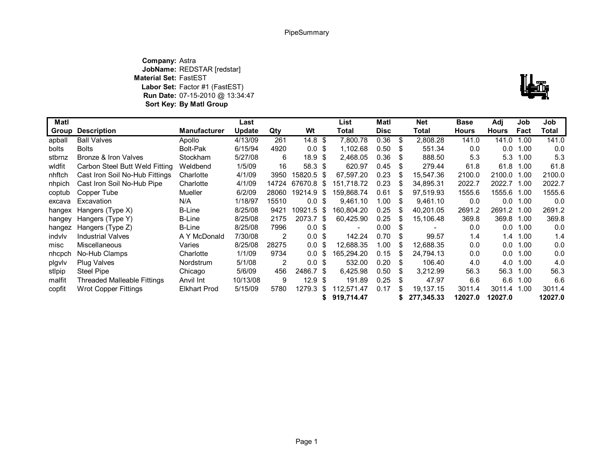**Company:** Astra **JobName:** REDSTAR [redstar] **Material Set:** FastEST **Labor Set:** Factor #1 (FastEST) **Run Date:** 07-15-2010 @ 13:34:47 **Sort Key: By Matl Group**



| Matl   | Last                               |                     |               | List  | Matl              |      | <b>Net</b> | <b>Base</b> | Adj | Job        | Job          |              |            |         |
|--------|------------------------------------|---------------------|---------------|-------|-------------------|------|------------|-------------|-----|------------|--------------|--------------|------------|---------|
| Group  | <b>Description</b>                 | <b>Manufacturer</b> | <b>Update</b> | Qty   | Wt                |      | Total      | <b>Disc</b> |     | Total      | <b>Hours</b> | <b>Hours</b> | Fact       | Total   |
| apball | <b>Ball Valves</b>                 | Apollo              | 4/13/09       | 261   | 14.8 <sup>°</sup> |      | 7.800.78   | 0.36        | \$  | 2,808.28   | 141.0        | 141.0        | 1.00       | 141.0   |
| bolts  | <b>Bolts</b>                       | <b>Bolt-Pak</b>     | 6/15/94       | 4920  | $0.0 \text{ }$ \$ |      | 1,102.68   | 0.50        |     | 551.34     | 0.0          | 0.0          | 1.00       | 0.0     |
| stbrnz | Bronze & Iron Valves               | <b>Stockham</b>     | 5/27/08       | 6     | 18.9 <sup>5</sup> |      | 2.468.05   | 0.36        | S   | 888.50     | 5.3          | 5.3          | 1.00       | 5.3     |
| wldfit | Carbon Steel Butt Weld Fitting     | Weldbend            | 1/5/09        | 16    | 58.3 \$           |      | 620.97     | 0.45        | \$  | 279.44     | 61.8         |              | 61.8 1.00  | 61.8    |
| nhftch | Cast Iron Soil No-Hub Fittings     | Charlotte           | 4/1/09        | 3950  | 15820.5 \$        |      | 67.597.20  | 0.23        | -S  | 15,547.36  | 2100.0       | 2100.0       | 1.00       | 2100.0  |
| nhpich | Cast Iron Soil No-Hub Pipe         | Charlotte           | 4/1/09        | 14724 | 67670.8 \$        |      | 151.718.72 | 0.23        |     | 34,895.31  | 2022.7       | 2022.7 1.00  |            | 2022.7  |
| coptub | Copper Tube                        | Mueller             | 6/2/09        | 28060 | 19214.9 \$        |      | 159.868.74 | 0.61        | \$. | 97,519.93  | 1555.6       | 1555.6       | 1.00       | 1555.6  |
| excava | Excavation                         | N/A                 | 1/18/97       | 15510 | $0.0 \,$ \$       |      | 9,461.10   | 1.00        | S   | 9,461.10   | 0.0          |              | $0.0$ 1.00 | 0.0     |
| hangex | Hangers (Type X)                   | B-Line              | 8/25/08       | 9421  | 10921.5 \$        |      | 160.804.20 | 0.25        | -S  | 40,201.05  | 2691.2       | 2691.2 1.00  |            | 2691.2  |
| hangey | Hangers (Type Y)                   | <b>B-Line</b>       | 8/25/08       | 2175  | 2073.7 \$         |      | 60,425.90  | 0.25        | \$. | 15,106.48  | 369.8        | 369.8 1.00   |            | 369.8   |
| hangez | Hangers (Type Z)                   | <b>B-Line</b>       | 8/25/08       | 7996  | $0.0 \,$ \$       |      |            | 0.00        | \$  |            | 0.0          | 0.0          | 1.00       | 0.0     |
| indvlv | <b>Industrial Valves</b>           | A Y McDonald        | 7/30/08       | 2     | $0.0 \text{ }$ \$ |      | 142.24     | 0.70        |     | 99.57      | 1.4          | 1.4          | 1.00       | 1.4     |
| misc   | <b>Miscellaneous</b>               | Varies              | 8/25/08       | 28275 | 0.0 <sup>5</sup>  |      | 12.688.35  | 1.00        | \$. | 12,688.35  | 0.0          | 0.0          | 1.00       | 0.0     |
| nhcpch | No-Hub Clamps                      | Charlotte           | 1/1/09        | 9734  | 0.0 <sup>5</sup>  |      | 165,294.20 | 0.15        |     | 24,794.13  | 0.0          | 0.0          | 1.00       | 0.0     |
| pigviv | <b>Plug Valves</b>                 | Nordstrum           | 5/1/08        | 2     | 0.0 S             |      | 532.00     | 0.20        | \$. | 106.40     | 4.0          | 4.0          | 1.00       | 4.0     |
| stipip | Steel Pipe                         | Chicago             | 5/6/09        | 456   | 2486.7 \$         |      | 6.425.98   | 0.50        | S   | 3,212.99   | 56.3         | 56.3         | 1.00       | 56.3    |
| malfit | <b>Threaded Malleable Fittings</b> | Anvil Int           | 10/13/08      | 9     | 12.9 <sup>5</sup> |      | 191.89     | 0.25        | \$  | 47.97      | 6.6          | 6.6          | 1.00       | 6.6     |
| copfit | Wrot Copper Fittings               | <b>Elkhart Prod</b> | 5/15/09       | 5780  | 1279.3            | - \$ | 112,571.47 | 0.17        | S   | 19.137.15  | 3011.4       | 3011.4       | 1.00       | 3011.4  |
|        |                                    |                     |               |       |                   |      | 919,714.47 |             |     | 277,345.33 | 12027.0      | 12027.0      |            | 12027.0 |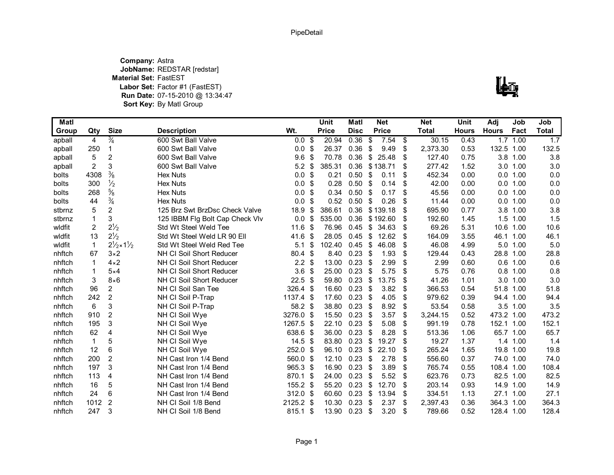**Company:** Astra **JobName:** REDSTAR [redstar] **Material Set:** FastEST **Labor Set:** Factor #1 (FastEST) **Run Date:** 07-15-2010 @ 13:34:47**Sort Key:** By Matl Group



| <b>Matl</b> |                |                                    |                                 |             | <b>Unit</b>  | <b>Matl</b> |     | <b>Net</b>   | <b>Net</b>     | Unit         | Adj          | Job        | Job          |
|-------------|----------------|------------------------------------|---------------------------------|-------------|--------------|-------------|-----|--------------|----------------|--------------|--------------|------------|--------------|
| Group       | Qty            | <b>Size</b>                        | <b>Description</b>              | Wt.         | <b>Price</b> | <b>Disc</b> |     | <b>Price</b> | <b>Total</b>   | <b>Hours</b> | <b>Hours</b> | Fact       | <b>Total</b> |
| apball      | 4              | $\frac{3}{4}$                      | 600 Swt Ball Valve              | $0.0 \,$ \$ | 20.94        | 0.36        | \$  | 7.54         | \$<br>30.15    | 0.43         |              | 1.71.00    | 1.7          |
| apball      | 250            | 1                                  | 600 Swt Ball Valve              | 0.0         | \$<br>26.37  | 0.36        | \$  | 9.49         | \$<br>2,373.30 | 0.53         | 132.5 1.00   |            | 132.5        |
| apball      | 5              | $\overline{c}$                     | 600 Swt Ball Valve              | 9.6         | \$<br>70.78  | 0.36        | \$  | 25.48        | \$<br>127.40   | 0.75         |              | 3.8 1.00   | 3.8          |
| apball      | $\overline{c}$ | 3                                  | 600 Swt Ball Valve              | 5.2         | \$<br>385.31 | 0.36        |     | \$138.71     | \$<br>277.42   | 1.52         |              | 3.0 1.00   | 3.0          |
| bolts       | 4308           | $\frac{3}{8}$                      | <b>Hex Nuts</b>                 | 0.0         | \$<br>0.21   | 0.50        | \$  | 0.11         | \$<br>452.34   | 0.00         |              | 0.0 1.00   | 0.0          |
| bolts       | 300            | $\frac{1}{2}$                      | <b>Hex Nuts</b>                 | 0.0         | \$<br>0.28   | 0.50        | -\$ | 0.14         | \$<br>42.00    | 0.00         |              | 0.0 1.00   | 0.0          |
| bolts       | 268            | $\frac{5}{8}$                      | <b>Hex Nuts</b>                 | 0.0         | \$<br>0.34   | 0.50        | -\$ | 0.17         | \$<br>45.56    | 0.00         | 0.0          | 1.00       | 0.0          |
| bolts       | 44             | $\frac{3}{4}$                      | <b>Hex Nuts</b>                 | 0.0         | \$<br>0.52   | 0.50        | \$  | 0.26         | \$<br>11.44    | 0.00         | 0.0          | 1.00       | 0.0          |
| stbrnz      | 5              | $\overline{2}$                     | 125 Brz Swt BrzDsc Check Valve  | 18.9        | \$<br>386.61 | 0.36        |     | \$139.18     | \$<br>695.90   | 0.77         | 3.8          | 1.00       | 3.8          |
| stbrnz      | 1              | 3                                  | 125 IBBM Flg Bolt Cap Check Vlv | 0.0         | \$<br>535.00 | 0.36        |     | \$192.60     | \$<br>192.60   | 1.45         | 1.5          | 1.00       | 1.5          |
| wldfit      | $\overline{2}$ | $2^{1/2}$                          | Std Wt Steel Weld Tee           | 11.6        | \$<br>76.96  | 0.45        | \$  | 34.63        | \$<br>69.26    | 5.31         |              | 10.6 1.00  | 10.6         |
| wldfit      | 13             | $2^{1/2}$                          | Std Wt Steel Weld LR 90 Ell     | 41.6        | \$<br>28.05  | 0.45        | \$  | 12.62        | \$<br>164.09   | 3.55         | 46.1         | 1.00       | 46.1         |
| wldfit      | $\mathbf{1}$   | $2\frac{1}{2} \times 1\frac{1}{2}$ | Std Wt Steel Weld Red Tee       | 5.1         | \$<br>102.40 | 0.45        | \$  | 46.08        | \$<br>46.08    | 4.99         | 5.0          | 1.00       | 5.0          |
| nhftch      | 67             | $3\times2$                         | NH CI Soil Short Reducer        | 80.4 \$     | 8.40         | 0.23        | \$  | 1.93         | \$<br>129.44   | 0.43         | 28.8 1.00    |            | 28.8         |
| nhftch      | 1              | $4 \times 2$                       | NH CI Soil Short Reducer        | 2.2         | \$<br>13.00  | 0.23        | -\$ | 2.99         | \$<br>2.99     | 0.60         |              | $0.6$ 1.00 | 0.6          |
| nhftch      | 1              | $5\times4$                         | NH CI Soil Short Reducer        | 3.6         | \$<br>25.00  | 0.23        | -\$ | 5.75         | \$<br>5.75     | 0.76         | 0.8          | 1.00       | 0.8          |
| nhftch      | 3              | $8\times 6$                        | NH CI Soil Short Reducer        | 22.5        | \$<br>59.80  | 0.23        | \$  | 13.75        | \$<br>41.26    | 1.01         |              | 3.0 1.00   | 3.0          |
| nhftch      | 96             | 2                                  | NH CI Soil San Tee              | 326.4 \$    | 16.60        | 0.23        | \$  | 3.82         | \$<br>366.53   | 0.54         | 51.8         | 1.00       | 51.8         |
| nhftch      | 242            | 2                                  | NH CI Soil P-Trap               | 1137.4 \$   | 17.60        | 0.23        | -\$ | 4.05         | \$<br>979.62   | 0.39         | 94.4 1.00    |            | 94.4         |
| nhftch      | 6              | 3                                  | NH CI Soil P-Trap               | 58.2 \$     | 38.80        | 0.23        | \$  | 8.92         | \$<br>53.54    | 0.58         |              | 3.5 1.00   | 3.5          |
| nhftch      | 910            | $\overline{2}$                     | NH CI Soil Wye                  | 3276.0 \$   | 15.50        | 0.23        | -\$ | 3.57         | \$<br>3,244.15 | 0.52         | 473.2 1.00   |            | 473.2        |
| nhftch      | 195            | 3                                  | NH CI Soil Wye                  | 1267.5 \$   | 22.10        | 0.23        | -\$ | 5.08         | \$<br>991.19   | 0.78         | 152.1 1.00   |            | 152.1        |
| nhftch      | 62             | 4                                  | NH CI Soil Wye                  | 638.6 \$    | 36.00        | 0.23        | \$  | 8.28         | \$<br>513.36   | 1.06         | 65.7 1.00    |            | 65.7         |
| nhftch      | $\mathbf{1}$   | 5                                  | NH CI Soil Wye                  | $14.5$ \$   | 83.80        | 0.23        | \$  | 19.27        | \$<br>19.27    | 1.37         |              | 1.4 1.00   | 1.4          |
| nhftch      | 12             | 6                                  | NH CI Soil Wye                  | 252.0 \$    | 96.10        | 0.23        | \$  | 22.10        | \$<br>265.24   | 1.65         | 19.8 1.00    |            | 19.8         |
| nhftch      | 200            | $\overline{c}$                     | NH Cast Iron 1/4 Bend           | 560.0 \$    | 12.10        | 0.23        | \$  | 2.78         | \$<br>556.60   | 0.37         | 74.0         | 1.00       | 74.0         |
| nhftch      | 197            | 3                                  | NH Cast Iron 1/4 Bend           | 965.3 \$    | 16.90        | 0.23        | -\$ | 3.89         | \$<br>765.74   | 0.55         | 108.4 1.00   |            | 108.4        |
| nhftch      | 113            | 4                                  | NH Cast Iron 1/4 Bend           | 870.1 \$    | 24.00        | 0.23        | \$  | 5.52         | \$<br>623.76   | 0.73         | 82.5 1.00    |            | 82.5         |
| nhftch      | 16             | 5                                  | NH Cast Iron 1/4 Bend           | 155.2 \$    | 55.20        | 0.23        | \$  | 12.70        | \$<br>203.14   | 0.93         | 14.9         | 1.00       | 14.9         |
| nhftch      | 24             | 6                                  | NH Cast Iron 1/4 Bend           | $312.0$ \$  | 60.60        | 0.23        | \$  | 13.94        | \$<br>334.51   | 1.13         | 27.1         | 1.00       | 27.1         |
| nhftch      | 1012           | $\overline{2}$                     | NH CI Soil 1/8 Bend             | 2125.2 \$   | 10.30        | 0.23        | \$  | 2.37         | \$<br>2,397.43 | 0.36         | 364.3 1.00   |            | 364.3        |
| nhftch      | 247            | 3                                  | NH CI Soil 1/8 Bend             | $815.1$ \$  | 13.90        | 0.23        | \$  | 3.20         | \$<br>789.66   | 0.52         | 128.4 1.00   |            | 128.4        |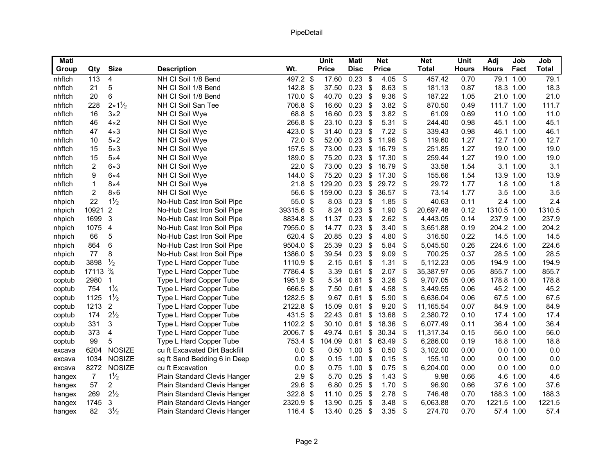| <b>Matl</b> |                |                         |                               |            |                            | <b>Unit</b>  | Matl        |                           | <b>Net</b>   |                           | Net          | <b>Unit</b>  | Adj          | Job       | Job          |
|-------------|----------------|-------------------------|-------------------------------|------------|----------------------------|--------------|-------------|---------------------------|--------------|---------------------------|--------------|--------------|--------------|-----------|--------------|
| Group       | Qty            | <b>Size</b>             | <b>Description</b>            | Wt.        |                            | <b>Price</b> | <b>Disc</b> |                           | <b>Price</b> |                           | <b>Total</b> | <b>Hours</b> | <b>Hours</b> | Fact      | <b>Total</b> |
| nhftch      | 113            | 4                       | NH CI Soil 1/8 Bend           | 497.2 \$   |                            | 17.60        | $0.23$ \$   |                           | 4.05         | \$                        | 457.42       | 0.70         |              | 79.1 1.00 | 79.1         |
| nhftch      | 21             | 5                       | NH CI Soil 1/8 Bend           | 142.8      | $\boldsymbol{\mathsf{S}}$  | 37.50        | 0.23        | \$                        | 8.63         | \$                        | 181.13       | 0.87         |              | 18.3 1.00 | 18.3         |
| nhftch      | 20             | 6                       | NH CI Soil 1/8 Bend           | 170.0 \$   |                            | 40.70        | 0.23        | \$                        | 9.36         | \$                        | 187.22       | 1.05         |              | 21.0 1.00 | 21.0         |
| nhftch      | 228            | $2 \times 1\frac{1}{2}$ | NH CI Soil San Tee            | 706.8 \$   |                            | 16.60        | 0.23        | \$                        | 3.82         | \$                        | 870.50       | 0.49         | 111.7 1.00   |           | 111.7        |
| nhftch      | 16             | $3\times2$              | NH CI Soil Wye                | 68.8 \$    |                            | 16.60        | 0.23        | \$                        | 3.82         | \$                        | 61.09        | 0.69         |              | 11.0 1.00 | 11.0         |
| nhftch      | 46             | $4\times 2$             | NH CI Soil Wye                | 266.8      | $\boldsymbol{\mathsf{S}}$  | 23.10        | 0.23        | $\boldsymbol{\mathsf{S}}$ | 5.31         | $\boldsymbol{\mathsf{S}}$ | 244.40       | 0.98         |              | 45.1 1.00 | 45.1         |
| nhftch      | 47             | $4 \times 3$            | NH CI Soil Wye                | 423.0      | \$                         | 31.40        | 0.23        | \$                        | 7.22         | \$                        | 339.43       | 0.98         |              | 46.1 1.00 | 46.1         |
| nhftch      | 10             | $5\times2$              | NH CI Soil Wye                | 72.0       | $\boldsymbol{\mathsf{S}}$  | 52.00        | 0.23        | \$                        | 11.96        | \$                        | 119.60       | 1.27         |              | 12.7 1.00 | 12.7         |
| nhftch      | 15             | $5\times3$              | NH CI Soil Wye                | 157.5      | $\boldsymbol{\mathsf{S}}$  | 73.00        | 0.23        | \$                        | 16.79        | \$                        | 251.85       | 1.27         |              | 19.0 1.00 | 19.0         |
| nhftch      | 15             | $5\times4$              | NH CI Soil Wye                | 189.0 \$   |                            | 75.20        | 0.23        | \$                        | 17.30        | \$                        | 259.44       | 1.27         |              | 19.0 1.00 | 19.0         |
| nhftch      | 2              | $6 \times 3$            | NH CI Soil Wye                | 22.0       | \$                         | 73.00        | 0.23        | \$                        | 16.79        | \$                        | 33.58        | 1.54         |              | 3.1 1.00  | 3.1          |
| nhftch      | 9              | $6\times4$              | NH CI Soil Wye                | 144.0      | \$                         | 75.20        | 0.23        | \$                        | 17.30        | \$                        | 155.66       | 1.54         |              | 13.9 1.00 | 13.9         |
| nhftch      | $\mathbf{1}$   | $8\times4$              | NH CI Soil Wye                | 21.8       | $\boldsymbol{\mathsf{S}}$  | 129.20       | 0.23        | \$                        | 29.72        | \$                        | 29.72        | 1.77         |              | 1.8 1.00  | 1.8          |
| nhftch      | $\overline{c}$ | $8\times 6$             | NH CI Soil Wye                | 56.6       | $\sqrt[6]{\frac{1}{2}}$    | 159.00       | 0.23        | $\boldsymbol{\mathsf{S}}$ | 36.57        | \$                        | 73.14        | 1.77         |              | 3.5 1.00  | 3.5          |
| nhpich      | 22             | $1\frac{1}{2}$          | No-Hub Cast Iron Soil Pipe    | 55.0 \$    |                            | 8.03         | 0.23        | -\$                       | 1.85         | \$                        | 40.63        | 0.11         |              | 2.4 1.00  | 2.4          |
| nhpich      | 10921          | $\overline{2}$          | No-Hub Cast Iron Soil Pipe    | 39315.6 \$ |                            | 8.24         | 0.23        | -\$                       | 1.90         | \$                        | 20,697.48    | 0.12         | 1310.5 1.00  |           | 1310.5       |
| nhpich      | 1699           | 3                       | No-Hub Cast Iron Soil Pipe    | 8834.8 \$  |                            | 11.37        | 0.23        | \$                        | 2.62         | \$                        | 4,443.05     | 0.14         | 237.9 1.00   |           | 237.9        |
| nhpich      | 1075           | $\overline{4}$          | No-Hub Cast Iron Soil Pipe    | 7955.0 \$  |                            | 14.77        | 0.23        | \$                        | 3.40         | \$                        | 3,651.88     | 0.19         | 204.2 1.00   |           | 204.2        |
| nhpich      | 66             | 5                       | No-Hub Cast Iron Soil Pipe    | 620.4 \$   |                            | 20.85        | 0.23        | \$                        | 4.80         | \$                        | 316.50       | 0.22         |              | 14.5 1.00 | 14.5         |
| nhpich      | 864            | 6                       | No-Hub Cast Iron Soil Pipe    | 9504.0 \$  |                            | 25.39        | 0.23        | -\$                       | 5.84         | \$                        | 5,045.50     | 0.26         | 224.6 1.00   |           | 224.6        |
| nhpich      | 77             | 8                       | No-Hub Cast Iron Soil Pipe    | 1386.0     | \$                         | 39.54        | 0.23        | \$                        | 9.09         | \$                        | 700.25       | 0.37         |              | 28.5 1.00 | 28.5         |
| coptub      | 3898           | $\frac{1}{2}$           | Type L Hard Copper Tube       | 1110.9 \$  |                            | 2.15         | 0.61        | -\$                       | 1.31         | \$                        | 5,112.23     | 0.05         | 194.9 1.00   |           | 194.9        |
| coptub      | 17113          | $\frac{3}{4}$           | Type L Hard Copper Tube       | 7786.4 \$  |                            | 3.39         | 0.61        | $\boldsymbol{\mathsf{S}}$ | 2.07         | $\boldsymbol{\mathsf{S}}$ | 35,387.97    | 0.05         | 855.7 1.00   |           | 855.7        |
| coptub      | 2980           | 1                       | Type L Hard Copper Tube       | 1951.9 \$  |                            | 5.34         | 0.61        | \$                        | 3.26         | \$                        | 9,707.05     | 0.06         | 178.8 1.00   |           | 178.8        |
| coptub      | 754            | $1\frac{1}{4}$          | Type L Hard Copper Tube       | 666.5 \$   |                            | 7.50         | 0.61        | \$                        | 4.58         | \$                        | 3,449.55     | 0.06         | 45.2 1.00    |           | 45.2         |
| coptub      | 1125           | $1\frac{1}{2}$          | Type L Hard Copper Tube       | 1282.5 \$  |                            | 9.67         | 0.61        | $\boldsymbol{\mathsf{S}}$ | 5.90         | \$                        | 6,636.04     | 0.06         |              | 67.5 1.00 | 67.5         |
| coptub      | 1213           | $\overline{2}$          | Type L Hard Copper Tube       | 2122.8 \$  |                            | 15.09        | 0.61        | \$                        | 9.20         | \$                        | 11,165.54    | 0.07         |              | 84.9 1.00 | 84.9         |
| coptub      | 174            | $2\frac{1}{2}$          | Type L Hard Copper Tube       | 431.5      | \$                         | 22.43        | 0.61        | \$                        | 13.68        | \$                        | 2,380.72     | 0.10         |              | 17.4 1.00 | 17.4         |
| coptub      | 331            | 3                       | Type L Hard Copper Tube       | 1102.2 \$  |                            | 30.10        | 0.61        | \$                        | 18.36        | \$                        | 6,077.49     | 0.11         |              | 36.4 1.00 | 36.4         |
| coptub      | 373            | 4                       | Type L Hard Copper Tube       | 2006.7 \$  |                            | 49.74        | 0.61        | \$                        | 30.34        | \$                        | 11,317.34    | 0.15         |              | 56.0 1.00 | 56.0         |
| coptub      | 99             | 5                       | Type L Hard Copper Tube       | 753.4      | \$                         | 104.09       | 0.61        | \$                        | 63.49        | \$                        | 6,286.00     | 0.19         |              | 18.8 1.00 | 18.8         |
| excava      | 6204           | <b>NOSIZE</b>           | cu ft Excavated Dirt Backfill | 0.0        | $\boldsymbol{\mathsf{S}}$  | 0.50         | 1.00        | \$                        | 0.50         | \$                        | 3,102.00     | 0.00         |              | 0.0 1.00  | 0.0          |
| excava      | 1034           | <b>NOSIZE</b>           | sq ft Sand Bedding 6 in Deep  | 0.0        | $\boldsymbol{\mathsf{S}}$  | 0.15         | 1.00        | -\$                       | 0.15         | \$                        | 155.10       | 0.00         |              | 0.0 1.00  | 0.0          |
| excava      | 8272           | <b>NOSIZE</b>           | cu ft Excavation              | 0.0        | \$                         | 0.75         | 1.00        | -\$                       | 0.75         | \$                        | 6,204.00     | 0.00         |              | 0.0 1.00  | 0.0          |
| hangex      | $\overline{7}$ | $1\frac{1}{2}$          | Plain Standard Clevis Hanger  | 2.9        | \$                         | 5.70         | 0.25        | \$                        | 1.43         | \$                        | 9.98         | 0.66         |              | 4.6 1.00  | 4.6          |
| hangex      | 57             | 2                       | Plain Standard Clevis Hanger  | 29.6       | \$                         | 6.80         | 0.25        | -\$                       | 1.70         | \$                        | 96.90        | 0.66         |              | 37.6 1.00 | 37.6         |
| hangex      | 269            | $2\frac{1}{2}$          | Plain Standard Clevis Hanger  | 322.8      | -\$                        | 11.10        | 0.25        | -\$                       | 2.78         | \$                        | 746.48       | 0.70         | 188.3 1.00   |           | 188.3        |
| hangex      | 1745           | 3                       | Plain Standard Clevis Hanger  | 2320.9     | $\boldsymbol{\mathsf{\$}}$ | 13.90        | 0.25        | \$                        | 3.48         | \$                        | 6,063.88     | 0.70         | 1221.5       | 1.00      | 1221.5       |
| hangex      | 82             | $3\frac{1}{2}$          | Plain Standard Clevis Hanger  | 116.4 \$   |                            | 13.40        | 0.25        | \$                        | 3.35         | \$                        | 274.70       | 0.70         |              | 57.4 1.00 | 57.4         |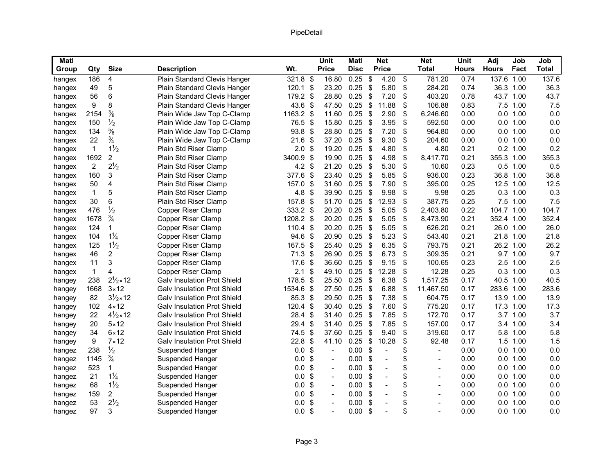| <b>Unit</b><br><b>Net</b><br><b>Unit</b><br>Adj<br><b>Size</b><br>Wt.<br>Qty<br><b>Price</b><br><b>Disc</b><br><b>Price</b><br><b>Total</b><br><b>Hours</b><br><b>Hours</b><br>Group<br><b>Description</b><br>Plain Standard Clevis Hanger<br>321.8 \$<br>\$<br>781.20<br>$\overline{4}$<br>16.80<br>0.25<br>4.20<br>\$<br>0.74<br>186<br>hangex | Job<br>Job<br><b>Total</b><br>Fact<br>137.6 1.00<br>137.6<br>36.3<br>36.3 1.00 |
|--------------------------------------------------------------------------------------------------------------------------------------------------------------------------------------------------------------------------------------------------------------------------------------------------------------------------------------------------|--------------------------------------------------------------------------------|
|                                                                                                                                                                                                                                                                                                                                                  |                                                                                |
|                                                                                                                                                                                                                                                                                                                                                  |                                                                                |
| 5<br>$\boldsymbol{\mathsf{S}}$<br>23.20<br>0.25<br>\$<br>5.80<br>\$<br>284.20<br>0.74<br>49<br>Plain Standard Clevis Hanger<br>120.1<br>hangex                                                                                                                                                                                                   |                                                                                |
| 6<br>179.2 \$<br>\$<br>\$<br>56<br>28.80<br>0.25<br>7.20<br>403.20<br>0.78<br>Plain Standard Clevis Hanger<br>hangex                                                                                                                                                                                                                             | 43.7<br>43.7 1.00                                                              |
| 9<br>8<br>43.6 \$<br>$\sqrt{3}$<br>11.88<br>\$<br>47.50<br>0.25<br>106.88<br>0.83<br>Plain Standard Clevis Hanger<br>hangex                                                                                                                                                                                                                      | 7.5<br>7.5 1.00                                                                |
| $\frac{3}{8}$<br>2154<br>1163.2 \$<br>0.25<br>\$<br>2.90<br>\$<br>11.60<br>6,246.60<br>0.00<br>Plain Wide Jaw Top C-Clamp<br>hangex                                                                                                                                                                                                              | 0.0<br>0.0 1.00                                                                |
| $\frac{1}{2}$<br>3.95<br>\$<br>76.5 \$<br>0.25<br>\$<br>0.00<br>150<br>Plain Wide Jaw Top C-Clamp<br>15.80<br>592.50<br>hangex                                                                                                                                                                                                                   | 0.0<br>0.0 1.00                                                                |
| $\frac{5}{8}$<br>\$<br>7.20<br>\$<br>134<br>93.8<br>28.80<br>0.25<br>-\$<br>964.80<br>0.00<br>Plain Wide Jaw Top C-Clamp<br>hangex                                                                                                                                                                                                               | 0.0<br>0.0 1.00                                                                |
| $\frac{3}{4}$<br>\$<br>21.6<br>$\boldsymbol{\mathsf{\$}}$<br>0.25<br>\$<br>9.30<br>22<br>Plain Wide Jaw Top C-Clamp<br>37.20<br>204.60<br>0.00<br>hangex                                                                                                                                                                                         | 0.0<br>0.0 1.00                                                                |
| $1\frac{1}{2}$<br>$\mathbf{1}$<br>4.80<br>Plain Std Riser Clamp<br>2.0<br>\$<br>19.20<br>0.25<br>\$<br>\$<br>4.80<br>0.21<br>hangex                                                                                                                                                                                                              | 0.2<br>$0.2$ 1.00                                                              |
| 1692<br>$\overline{2}$<br>\$<br>0.25<br>$\mathcal{S}$<br>4.98<br>\$<br>Plain Std Riser Clamp<br>3400.9<br>19.90<br>8,417.70<br>0.21<br>hangex                                                                                                                                                                                                    | 355.3 1.00<br>355.3                                                            |
| $2\frac{1}{2}$<br>\$<br>$\overline{2}$<br>4.2 $$$<br>21.20<br>0.25<br>-\$<br>5.30<br>0.23<br>Plain Std Riser Clamp<br>10.60<br>hangex                                                                                                                                                                                                            | 0.5<br>$0.5$ 1.00                                                              |
| 3<br>377.6<br>\$<br>0.25<br>\$<br>5.85<br>\$<br>0.23<br>160<br>Plain Std Riser Clamp<br>23.40<br>936.00<br>hangex                                                                                                                                                                                                                                | 36.8 1.00<br>36.8                                                              |
| $\boldsymbol{\mathsf{S}}$<br>\$<br>\$<br>157.0<br>31.60<br>0.25<br>7.90<br>0.25<br>50<br>4<br>Plain Std Riser Clamp<br>395.00<br>hangex                                                                                                                                                                                                          | 12.5<br>12.5 1.00                                                              |
| 5<br>4.8<br>\$<br>0.25<br>$\boldsymbol{\mathsf{S}}$<br>9.98<br>\$<br>0.25<br>$\mathbf{1}$<br>Plain Std Riser Clamp<br>39.90<br>9.98<br>hangex                                                                                                                                                                                                    | 0.3<br>$0.3$ 1.00                                                              |
| 6<br>30<br>157.8<br>\$<br>0.25<br>\$<br>12.93<br>\$<br>387.75<br>0.25<br>Plain Std Riser Clamp<br>51.70<br>hangex                                                                                                                                                                                                                                | 7.5<br>7.5 1.00                                                                |
| $\frac{1}{2}$<br>476<br>333.2 \$<br>0.25<br>\$<br>5.05<br>\$<br>0.22<br>Copper Riser Clamp<br>20.20<br>2,403.80<br>hangex                                                                                                                                                                                                                        | 104.7<br>104.7 1.00                                                            |
| $\frac{3}{4}$<br>1208.2 \$<br>20.20<br>0.25<br>\$<br>5.05<br>\$<br>0.21<br>1678<br>Copper Riser Clamp<br>8,473.90<br>hangex                                                                                                                                                                                                                      | 352.4 1.00<br>352.4                                                            |
| $110.4$ \$<br>20.20<br>0.25<br>\$<br>5.05<br>\$<br>626.20<br>0.21<br>124<br>1<br>Copper Riser Clamp<br>hangex                                                                                                                                                                                                                                    | 26.0<br>26.0 1.00                                                              |
| $1\frac{1}{4}$<br>94.6<br>\$<br>20.90<br>0.25<br>\$<br>5.23<br>\$<br>543.40<br>0.21<br>104<br>Copper Riser Clamp<br>hangex                                                                                                                                                                                                                       | 21.8 1.00<br>21.8                                                              |
| $1\frac{1}{2}$<br>\$<br>6.35<br>\$<br>167.5<br>0.25<br>\$<br>793.75<br>0.21<br>125<br>Copper Riser Clamp<br>25.40<br>hangex                                                                                                                                                                                                                      | 26.2<br>26.2 1.00                                                              |
| $\overline{\mathbf{c}}$<br>71.3<br>\$<br>\$<br>6.73<br>\$<br>0.21<br>46<br>Copper Riser Clamp<br>26.90<br>0.25<br>309.35<br>hangex                                                                                                                                                                                                               | 9.7<br>9.7 1.00                                                                |
| 3<br>$\boldsymbol{\mathsf{S}}$<br>\$<br>Copper Riser Clamp<br>17.6<br>0.25<br>\$<br>9.15<br>100.65<br>0.23<br>11<br>36.60<br>hangex                                                                                                                                                                                                              | 2.5<br>2.5 1.00                                                                |
| $\mathbf{1}$<br>$\boldsymbol{\mathsf{S}}$<br>0.25<br>\$<br>12.28<br>\$<br>0.25<br>4<br>Copper Riser Clamp<br>2.1<br>49.10<br>12.28<br>hangex                                                                                                                                                                                                     | 0.3<br>$0.3$ 1.00                                                              |
| $2\frac{1}{2} \times 12$<br>6.38<br>238<br><b>Galv Insulation Prot Shield</b><br>178.5<br>\$<br>0.25<br>\$<br>\$<br>1,517.25<br>0.17<br>25.50<br>hangey                                                                                                                                                                                          | 40.5<br>40.5 1.00                                                              |
| 1668<br>$3 \times 12$<br>1534.6 \$<br>0.25<br>\$<br>6.88<br>\$<br>27.50<br>11,467.50<br>0.17<br><b>Galy Insulation Prot Shield</b><br>hangey                                                                                                                                                                                                     | 283.6<br>283.6 1.00                                                            |
| $3\frac{1}{2} \times 12$<br>\$<br>85.3<br>\$<br>0.25<br>-\$<br>7.38<br>0.17<br>82<br><b>Galv Insulation Prot Shield</b><br>29.50<br>604.75<br>hangey                                                                                                                                                                                             | 13.9 1.00<br>13.9                                                              |
| $4 \times 12$<br>$\boldsymbol{\mathsf{S}}$<br>0.25<br>\$<br>7.60<br>\$<br>102<br>120.4<br>775.20<br>0.17<br><b>Galy Insulation Prot Shield</b><br>30.40<br>hangey                                                                                                                                                                                | 17.3<br>17.3 1.00                                                              |
| $4\frac{1}{2} \times 12$<br>0.25<br>\$<br>7.85<br>\$<br>22<br><b>Galv Insulation Prot Shield</b><br>28.4<br>-\$<br>31.40<br>172.70<br>0.17<br>hangey                                                                                                                                                                                             | 3.7<br>3.7 1.00                                                                |
| 7.85<br>\$<br>$5 \times 12$<br><b>Galv Insulation Prot Shield</b><br>\$<br>31.40<br>0.25<br>\$<br>157.00<br>0.17<br>20<br>29.4<br>hangey                                                                                                                                                                                                         | 3.4<br>3.4 1.00                                                                |
| $6 \times 12$<br>74.5<br>\$<br>0.25<br>\$<br>9.40<br>\$<br>319.60<br>34<br><b>Galv Insulation Prot Shield</b><br>37.60<br>0.17<br>hangey                                                                                                                                                                                                         | 5.8<br>5.8 1.00                                                                |
| $7 \times 12$<br>$\boldsymbol{\mathsf{S}}$<br>\$<br>10.28<br>\$<br>9<br>22.8<br>0.25<br>92.48<br>0.17<br><b>Galv Insulation Prot Shield</b><br>41.10<br>hangey                                                                                                                                                                                   | 1.5<br>1.5 1.00                                                                |
| $\frac{1}{2}$<br>$\boldsymbol{\mathsf{S}}$<br>\$<br>\$<br>238<br>0.00<br>0.00<br>0.0<br>Suspended Hanger<br>hangez<br>$\blacksquare$<br>$\overline{\phantom{0}}$<br>$\overline{\phantom{a}}$                                                                                                                                                     | 0.0<br>0.0 1.00                                                                |
| $\frac{3}{4}$<br>1145<br>0.0<br>\$<br>0.00<br>\$<br>\$<br>0.00<br>Suspended Hanger<br>hangez<br>$\overline{\phantom{a}}$<br>$\overline{a}$<br>$\overline{\phantom{a}}$                                                                                                                                                                           | 0.0<br>0.0 1.00                                                                |
| \$<br>\$<br>\$<br>523<br>1<br>Suspended Hanger<br>0.0<br>0.00<br>0.00<br>hangez<br>$\overline{a}$<br>$\overline{\phantom{a}}$<br>$\overline{\phantom{a}}$                                                                                                                                                                                        | 0.0<br>0.0 1.00                                                                |
| $1\frac{1}{4}$<br>\$<br>\$<br>0.00<br>\$<br>0.00<br>21<br>Suspended Hanger<br>0.0<br>hangez<br>$\overline{a}$<br>$\overline{a}$<br>$\overline{\phantom{a}}$                                                                                                                                                                                      | 0.0 1.00<br>0.0                                                                |
| $1\frac{1}{2}$<br>$\boldsymbol{\mathsf{S}}$<br>\$<br>\$<br>68<br>0.0<br>0.00<br>0.00<br>Suspended Hanger<br>hangez<br>$\overline{a}$<br>$\overline{a}$<br>$\overline{\phantom{a}}$                                                                                                                                                               | 0.0<br>0.0 1.00                                                                |
| $\overline{2}$<br>$\boldsymbol{\mathsf{S}}$<br>159<br>0.0<br>0.00<br>\$<br>\$<br>0.00<br>Suspended Hanger<br>hangez<br>$\overline{a}$<br>$\overline{a}$<br>$\overline{a}$                                                                                                                                                                        | 0.0<br>0.0 1.00                                                                |
| $2\frac{1}{2}$<br>\$<br>\$<br>\$<br>53<br>0.0<br>0.00<br>0.00<br>Suspended Hanger<br>hangez<br>$\blacksquare$<br>$\overline{a}$<br>$\blacksquare$                                                                                                                                                                                                | 0.0 1.00<br>0.0                                                                |
| 3<br>$0.0 \text{ }$ \$<br>\$<br>97<br>0.00<br>\$<br>Suspended Hanger<br>0.00<br>hangez<br>$\overline{a}$<br>$\overline{\phantom{a}}$                                                                                                                                                                                                             | 0.0<br>0.0 1.00                                                                |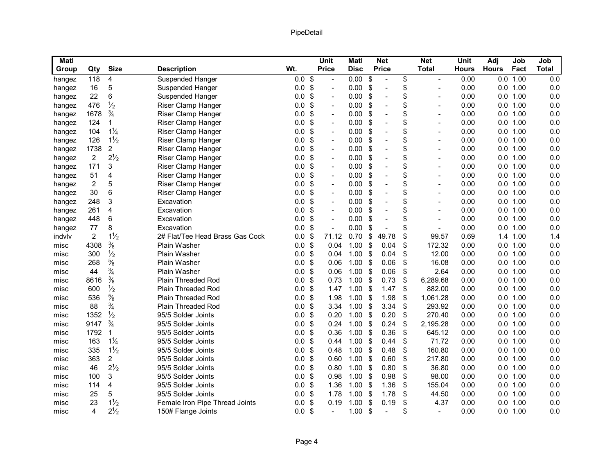| <b>Matl</b> |                |                |                                 |                   |                            | <b>Unit</b>              | <b>Matl</b> |                           | <b>Net</b>     | <b>Net</b>                     | <b>Unit</b>  | Adj          | Job      | Job          |
|-------------|----------------|----------------|---------------------------------|-------------------|----------------------------|--------------------------|-------------|---------------------------|----------------|--------------------------------|--------------|--------------|----------|--------------|
| Group       | Qty            | <b>Size</b>    | <b>Description</b>              | Wt.               |                            | <b>Price</b>             | <b>Disc</b> |                           | <b>Price</b>   | <b>Total</b>                   | <b>Hours</b> | <b>Hours</b> | Fact     | <b>Total</b> |
| hangez      | 118            | 4              | <b>Suspended Hanger</b>         | 0.0               | $\boldsymbol{\mathsf{\$}}$ | $\overline{a}$           | 0.00        | \$                        |                | \$<br>$\overline{\phantom{a}}$ | 0.00         |              | 0.0 1.00 | 0.0          |
| hangez      | 16             | 5              | Suspended Hanger                | 0.0               | $\frac{1}{2}$              | $\overline{a}$           | 0.00        | \$                        | $\overline{a}$ | \$                             | 0.00         |              | 0.0 1.00 | 0.0          |
| hangez      | 22             | 6              | Suspended Hanger                | 0.0               | $\boldsymbol{\mathsf{S}}$  | $\overline{\phantom{a}}$ | 0.00        | \$                        | $\overline{a}$ | \$<br>$\overline{\phantom{a}}$ | 0.00         |              | 0.0 1.00 | 0.0          |
| hangez      | 476            | $\frac{1}{2}$  | Riser Clamp Hanger              | 0.0               | $\boldsymbol{\mathsf{S}}$  | $\overline{a}$           | 0.00        | \$                        | $\overline{a}$ | \$<br>$\overline{a}$           | 0.00         | 0.0          | 1.00     | 0.0          |
| hangez      | 1678           | $\frac{3}{4}$  | Riser Clamp Hanger              | 0.0               | \$                         | $\overline{\phantom{a}}$ | 0.00        | \$                        | $\overline{a}$ | \$<br>$\overline{\phantom{0}}$ | 0.00         |              | 0.0 1.00 | 0.0          |
| hangez      | 124            | 1              | Riser Clamp Hanger              | 0.0               | \$                         | $\overline{\phantom{a}}$ | 0.00        | \$                        | $\overline{a}$ | \$<br>$\overline{\phantom{a}}$ | 0.00         |              | 0.0 1.00 | 0.0          |
| hangez      | 104            | $1\frac{1}{4}$ | Riser Clamp Hanger              | 0.0               | $\boldsymbol{\mathsf{S}}$  | $\blacksquare$           | 0.00        | \$                        | $\overline{a}$ | \$<br>L,                       | 0.00         |              | 0.0 1.00 | 0.0          |
| hangez      | 126            | $1\frac{1}{2}$ | Riser Clamp Hanger              | 0.0               | \$                         | $\overline{\phantom{a}}$ | 0.00        | \$                        | $\overline{a}$ | \$<br>$\overline{\phantom{a}}$ | 0.00         |              | 0.0 1.00 | 0.0          |
| hangez      | 1738           | $\overline{2}$ | Riser Clamp Hanger              | 0.0               | $\boldsymbol{\mathsf{S}}$  | $\overline{a}$           | 0.00        | \$                        | $\overline{a}$ | \$<br>L,                       | 0.00         | 0.0          | 1.00     | 0.0          |
| hangez      | $\overline{2}$ | $2\frac{1}{2}$ | Riser Clamp Hanger              | 0.0               | \$                         | $\blacksquare$           | 0.00        | \$                        | $\overline{a}$ | \$<br>$\overline{\phantom{a}}$ | 0.00         |              | 0.0 1.00 | 0.0          |
| hangez      | 171            | 3              | Riser Clamp Hanger              | 0.0               | $\boldsymbol{\mathsf{S}}$  | $\overline{\phantom{a}}$ | 0.00        | \$                        | $\overline{a}$ | \$<br>$\overline{\phantom{a}}$ | 0.00         |              | 0.0 1.00 | 0.0          |
| hangez      | 51             | 4              | Riser Clamp Hanger              | 0.0               | $\boldsymbol{\mathsf{S}}$  | $\overline{\phantom{a}}$ | 0.00        | \$                        | $\overline{a}$ | \$<br>$\overline{\phantom{a}}$ | 0.00         |              | 0.0 1.00 | 0.0          |
| hangez      | 2              | 5              | Riser Clamp Hanger              | 0.0               | $\boldsymbol{\mathsf{S}}$  | $\overline{\phantom{a}}$ | 0.00        | \$                        | $\overline{a}$ | \$<br>$\overline{\phantom{a}}$ | 0.00         |              | 0.0 1.00 | 0.0          |
| hangez      | 30             | 6              | Riser Clamp Hanger              | 0.0               | \$                         | $\overline{\phantom{a}}$ | 0.00        | \$                        | $\overline{a}$ | \$<br>$\overline{\phantom{a}}$ | 0.00         |              | 0.0 1.00 | 0.0          |
| hangez      | 248            | 3              | Excavation                      | 0.0               | \$                         | $\overline{\phantom{a}}$ | 0.00        | \$                        | $\overline{a}$ | \$<br>$\overline{\phantom{a}}$ | 0.00         |              | 0.0 1.00 | 0.0          |
| hangez      | 261            | 4              | Excavation                      | 0.0               | $\boldsymbol{\mathsf{S}}$  | $\overline{\phantom{a}}$ | 0.00        | \$                        | $\overline{a}$ | \$<br>$\overline{a}$           | 0.00         |              | 0.0 1.00 | 0.0          |
| hangez      | 448            | 6              | Excavation                      | 0.0               | $\frac{1}{2}$              | $\overline{a}$           | 0.00        | \$                        | $\overline{a}$ | \$<br>$\overline{a}$           | 0.00         |              | 0.0 1.00 | 0.0          |
| hangez      | 77             | 8              | Excavation                      | 0.0               | $\boldsymbol{\mathsf{S}}$  | $\overline{a}$           | 0.00        | \$                        | $\overline{a}$ | \$<br>$\overline{a}$           | 0.00         | 0.0          | 1.00     | 0.0          |
| indvlv      | $\overline{2}$ | $1\frac{1}{2}$ | 2# Flat/Tee Head Brass Gas Cock | 0.0               | \$                         | 71.12                    | 0.70        | \$                        | 49.78          | \$<br>99.57                    | 0.69         |              | 1.4 1.00 | 1.4          |
| misc        | 4308           | $\frac{3}{8}$  | <b>Plain Washer</b>             | 0.0               | $\boldsymbol{\mathsf{S}}$  | 0.04                     | 1.00        | \$                        | 0.04           | \$<br>172.32                   | 0.00         |              | 0.0 1.00 | 0.0          |
| misc        | 300            | $\frac{1}{2}$  | Plain Washer                    | 0.0               | \$                         | 0.04                     | 1.00        | \$                        | 0.04           | \$<br>12.00                    | 0.00         |              | 0.0 1.00 | 0.0          |
| misc        | 268            | $\frac{5}{8}$  | Plain Washer                    | 0.0               | \$                         | 0.06                     | 1.00        | \$                        | 0.06           | \$<br>16.08                    | 0.00         |              | 0.0 1.00 | 0.0          |
| misc        | 44             | $\frac{3}{4}$  | Plain Washer                    | 0.0               | $\boldsymbol{\mathsf{S}}$  | 0.06                     | 1.00        | \$                        | 0.06           | \$<br>2.64                     | 0.00         | 0.0          | 1.00     | 0.0          |
| misc        | 8616           | $\frac{3}{8}$  | Plain Threaded Rod              | 0.0               | \$                         | 0.73                     | 1.00        | -\$                       | 0.73           | \$<br>6,289.68                 | 0.00         |              | 0.0 1.00 | 0.0          |
| misc        | 600            | $\frac{1}{2}$  | Plain Threaded Rod              | 0.0               | $\boldsymbol{\mathsf{S}}$  | 1.47                     | 1.00        | \$                        | 1.47           | \$<br>882.00                   | 0.00         |              | 0.0 1.00 | 0.0          |
| misc        | 536            | $\frac{5}{8}$  | Plain Threaded Rod              | 0.0               | \$                         | 1.98                     | 1.00        | -\$                       | 1.98           | \$<br>1,061.28                 | 0.00         |              | 0.0 1.00 | 0.0          |
| misc        | 88             | $\frac{3}{4}$  | Plain Threaded Rod              | 0.0               | $\boldsymbol{\mathsf{S}}$  | 3.34                     | 1.00        | \$                        | 3.34           | \$<br>293.92                   | 0.00         |              | 0.0 1.00 | 0.0          |
| misc        | 1352           | $\frac{1}{2}$  | 95/5 Solder Joints              | 0.0               | \$                         | 0.20                     | 1.00        | -\$                       | 0.20           | \$<br>270.40                   | 0.00         |              | 0.0 1.00 | 0.0          |
| misc        | 9147           | $\frac{3}{4}$  | 95/5 Solder Joints              | 0.0               | $\boldsymbol{\mathsf{S}}$  | 0.24                     | 1.00        | -\$                       | 0.24           | \$<br>2,195.28                 | 0.00         |              | 0.0 1.00 | 0.0          |
| misc        | 1792           | 1              | 95/5 Solder Joints              | 0.0               | \$                         | 0.36                     | 1.00        | -\$                       | 0.36           | \$<br>645.12                   | 0.00         |              | 0.0 1.00 | 0.0          |
| misc        | 163            | $1\frac{1}{4}$ | 95/5 Solder Joints              | 0.0               | $\boldsymbol{\mathsf{S}}$  | 0.44                     | 1.00        | -\$                       | 0.44           | \$<br>71.72                    | 0.00         |              | 0.0 1.00 | 0.0          |
| misc        | 335            | $1\frac{1}{2}$ | 95/5 Solder Joints              | 0.0               | \$                         | 0.48                     | 1.00        | \$                        | 0.48           | \$<br>160.80                   | 0.00         |              | 0.0 1.00 | 0.0          |
| misc        | 363            | $\overline{c}$ | 95/5 Solder Joints              | 0.0               | \$                         | 0.60                     | 1.00        | -\$                       | 0.60           | \$<br>217.80                   | 0.00         |              | 0.0 1.00 | 0.0          |
| misc        | 46             | $2\frac{1}{2}$ | 95/5 Solder Joints              | 0.0               | $\boldsymbol{\mathsf{S}}$  | 0.80                     | 1.00        | -\$                       | 0.80           | \$<br>36.80                    | 0.00         |              | 0.0 1.00 | 0.0          |
| misc        | 100            | 3              | 95/5 Solder Joints              | 0.0               | \$                         | 0.98                     | 1.00        | \$                        | 0.98           | \$<br>98.00                    | 0.00         |              | 0.0 1.00 | 0.0          |
| misc        | 114            | 4              | 95/5 Solder Joints              | 0.0               | $\boldsymbol{\mathsf{S}}$  | 1.36                     | 1.00        | \$                        | 1.36           | \$<br>155.04                   | 0.00         |              | 0.0 1.00 | 0.0          |
| misc        | 25             | 5              | 95/5 Solder Joints              | 0.0               | \$                         | 1.78                     | 1.00        | \$                        | 1.78           | \$<br>44.50                    | 0.00         |              | 0.0 1.00 | 0.0          |
| misc        | 23             | $1\frac{1}{2}$ | Female Iron Pipe Thread Joints  | 0.0               | $\boldsymbol{\mathsf{S}}$  | 0.19                     | 1.00        | $\boldsymbol{\mathsf{S}}$ | 0.19           | \$<br>4.37                     | 0.00         | 0.0          | 1.00     | 0.0          |
| misc        | 4              | $2\frac{1}{2}$ | 150# Flange Joints              | $0.0 \text{ }$ \$ |                            |                          | 1.00        | \$                        |                | \$<br>$\overline{\phantom{a}}$ | 0.00         |              | 0.0 1.00 | 0.0          |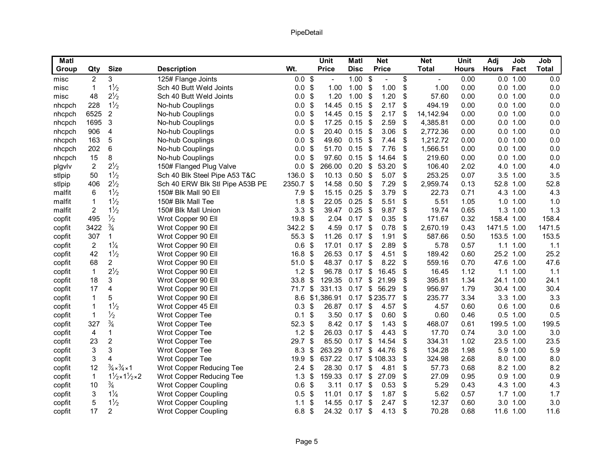| Matl   |                |                                             |                                 |                  |                           | <b>Unit</b>  | <b>Matl</b> |                | <b>Net</b>   | <b>Net</b>           | Unit         | Adj          | Job          | Job          |
|--------|----------------|---------------------------------------------|---------------------------------|------------------|---------------------------|--------------|-------------|----------------|--------------|----------------------|--------------|--------------|--------------|--------------|
| Group  | Qty            | <b>Size</b>                                 | <b>Description</b>              | Wt.              |                           | <b>Price</b> | <b>Disc</b> |                | <b>Price</b> | <b>Total</b>         | <b>Hours</b> | <b>Hours</b> | Fact         | <b>Total</b> |
| misc   | 2              | 3                                           | 125# Flange Joints              | $0.0$ \$         |                           |              | 1.00        | \$             |              | \$<br>$\blacksquare$ | 0.00         |              | 0.0 1.00     | 0.0          |
| misc   | 1              | $1\frac{1}{2}$                              | Sch 40 Butt Weld Joints         | 0.0              | $\boldsymbol{\mathsf{S}}$ | 1.00         | 1.00        | \$             | 1.00         | \$<br>1.00           | 0.00         |              | 0.0 1.00     | 0.0          |
| misc   | 48             | $2\frac{1}{2}$                              | Sch 40 Butt Weld Joints         | 0.0              | $\boldsymbol{\mathsf{S}}$ | 1.20         | 1.00        | \$             | 1.20         | \$<br>57.60          | 0.00         |              | 0.0 1.00     | 0.0          |
| nhcpch | 228            | $1\frac{1}{2}$                              | No-hub Couplings                | 0.0              | \$                        | 14.45        | 0.15        | -\$            | 2.17         | \$<br>494.19         | 0.00         |              | 0.0 1.00     | 0.0          |
| nhcpch | 6525           | $\overline{2}$                              | No-hub Couplings                | 0.0              | \$                        | 14.45        | 0.15        | \$             | 2.17         | \$<br>14, 142.94     | 0.00         |              | 0.0 1.00     | 0.0          |
| nhcpch | 1695           | 3                                           | No-hub Couplings                | 0.0              | \$                        | 17.25        | 0.15        | \$             | 2.59         | \$<br>4,385.81       | 0.00         |              | 0.0 1.00     | 0.0          |
| nhcpch | 906            | $\overline{4}$                              | No-hub Couplings                | 0.0              | $\boldsymbol{\mathsf{S}}$ | 20.40        | 0.15        | \$             | 3.06         | \$<br>2,772.36       | 0.00         |              | 0.0 1.00     | 0.0          |
| nhcpch | 163            | 5                                           | No-hub Couplings                | 0.0              | \$                        | 49.60        | 0.15        | \$             | 7.44         | \$<br>1,212.72       | 0.00         |              | 0.0 1.00     | 0.0          |
| nhcpch | 202            | 6                                           | No-hub Couplings                | 0.0              | \$                        | 51.70        | 0.15        | \$             | 7.76         | \$<br>1,566.51       | 0.00         |              | 0.0 1.00     | 0.0          |
| nhcpch | 15             | 8                                           | No-hub Couplings                | 0.0              | \$                        | 97.60        | 0.15        | \$             | 14.64        | \$<br>219.60         | 0.00         |              | 0.0 1.00     | 0.0          |
| plgvlv | $\overline{c}$ | $2\frac{1}{2}$                              | 150# Flanged Plug Valve         | 0.0              | \$                        | 266.00       | 0.20        | \$             | 53.20        | \$<br>106.40         | 2.02         |              | 4.0 1.00     | 4.0          |
| stlpip | 50             | $1\frac{1}{2}$                              | Sch 40 Blk Steel Pipe A53 T&C   | 136.0 \$         |                           | 10.13        | 0.50        | \$             | 5.07         | \$<br>253.25         | 0.07         |              | 3.5 1.00     | 3.5          |
| stlpip | 406            | $2\frac{1}{2}$                              | Sch 40 ERW Blk Stl Pipe A53B PE | 2350.7 \$        |                           | 14.58        | 0.50        | \$             | 7.29         | \$<br>2,959.74       | 0.13         | 52.8 1.00    |              | 52.8         |
| malfit | 6              | $1\frac{1}{2}$                              | 150# Blk Mall 90 Ell            | 7.9              | $\boldsymbol{\mathsf{S}}$ | 15.15        | 0.25        | \$             | 3.79         | \$<br>22.73          | 0.71         |              | 4.3 1.00     | 4.3          |
| malfit | 1              | $1\frac{1}{2}$                              | 150# Blk Mall Tee               | 1.8              | \$                        | 22.05        | 0.25        | \$             | 5.51         | \$<br>5.51           | 1.05         |              | $1.0$ $1.00$ | 1.0          |
| malfit | $\overline{2}$ | $1\frac{1}{2}$                              | 150# Blk Mall Union             | 3.3              | \$                        | 39.47        | 0.25        | \$             | 9.87         | \$<br>19.74          | 0.65         |              | 1.3 1.00     | 1.3          |
| copfit | 495            | $\frac{1}{2}$                               | Wrot Copper 90 Ell              | $19.8$ \$        |                           | 2.04         | 0.17        | -\$            | 0.35         | \$<br>171.67         | 0.32         | 158.4 1.00   |              | 158.4        |
| copfit | 3422           | $\frac{3}{4}$                               | Wrot Copper 90 Ell              | 342.2 \$         |                           | 4.59         | 0.17        | \$             | 0.78         | \$<br>2,670.19       | 0.43         | 1471.5 1.00  |              | 1471.5       |
| copfit | 307            | 1                                           | Wrot Copper 90 Ell              | 55.3             | $\boldsymbol{\mathsf{S}}$ | 11.26        | 0.17        | \$             | 1.91         | \$<br>587.66         | 0.50         | 153.5 1.00   |              | 153.5        |
| copfit | 2              | $1\frac{1}{4}$                              | Wrot Copper 90 Ell              | 0.6 <sup>9</sup> |                           | 17.01        | 0.17        | -\$            | 2.89         | \$<br>5.78           | 0.57         |              | $1.1$ $1.00$ | 1.1          |
| copfit | 42             | $1\frac{1}{2}$                              | Wrot Copper 90 Ell              | 16.8             | \$                        | 26.53        | 0.17        | \$             | 4.51         | \$<br>189.42         | 0.60         | 25.2 1.00    |              | 25.2         |
| copfit | 68             | $\overline{c}$                              | Wrot Copper 90 Ell              | $51.0$ \$        |                           | 48.37        | 0.17        | \$             | 8.22         | \$<br>559.16         | 0.70         | 47.6 1.00    |              | 47.6         |
| copfit | $\mathbf{1}$   | $2\frac{1}{2}$                              | Wrot Copper 90 Ell              | 1.2              | \$                        | 96.78        | 0.17        | \$             | 16.45        | \$<br>16.45          | 1.12         |              | $1.1$ $1.00$ | 1.1          |
| copfit | 18             | 3                                           | Wrot Copper 90 Ell              | 33.8             | \$                        | 129.35       | 0.17        | \$             | 21.99        | \$<br>395.81         | 1.34         | 24.1 1.00    |              | 24.1         |
| copfit | 17             | 4                                           | Wrot Copper 90 Ell              | 71.7             | $\boldsymbol{\$}$         | 331.13       | 0.17        | \$             | 56.29        | \$<br>956.97         | 1.79         | 30.4 1.00    |              | 30.4         |
| copfit | 1              | 5                                           | Wrot Copper 90 Ell              | 8.6              |                           | \$1,386.91   | 0.17        |                | \$235.77     | \$<br>235.77         | 3.34         |              | 3.3 1.00     | 3.3          |
| copfit | 1              | $1\frac{1}{2}$                              | Wrot Copper 45 Ell              | 0.3              | \$                        | 26.87        | 0.17        | \$             | 4.57         | \$<br>4.57           | 0.60         |              | $0.6$ 1.00   | 0.6          |
| copfit | 1              | $\frac{1}{2}$                               | Wrot Copper Tee                 | 0.1              | \$                        | 3.50         | 0.17        | \$             | 0.60         | \$<br>0.60           | 0.46         |              | $0.5$ 1.00   | 0.5          |
| copfit | 327            | $\frac{3}{4}$                               | Wrot Copper Tee                 | 52.3             | \$                        | 8.42         | 0.17        | \$             | 1.43         | \$<br>468.07         | 0.61         | 199.5 1.00   |              | 199.5        |
| copfit | 4              | 1                                           | Wrot Copper Tee                 | 1.2              | \$                        | 26.03        | 0.17        | \$             | 4.43         | \$<br>17.70          | 0.74         |              | 3.0 1.00     | 3.0          |
| copfit | 23             | $\overline{c}$                              | Wrot Copper Tee                 | 29.7             | $\boldsymbol{\mathsf{S}}$ | 85.50        | 0.17        | \$             | 14.54        | \$<br>334.31         | 1.02         | 23.5 1.00    |              | 23.5         |
| copfit | 3              | 3                                           | Wrot Copper Tee                 | 8.3 <sup>5</sup> |                           | 263.29       | 0.17        | \$             | 44.76        | \$<br>134.28         | 1.98         |              | 5.9 1.00     | 5.9          |
| copfit | 3              | 4                                           | Wrot Copper Tee                 | 19.9             | \$                        | 637.22       | 0.17        |                | \$108.33     | \$<br>324.98         | 2.68         |              | 8.0 1.00     | 8.0          |
| copfit | 12             | $\frac{3}{4} \times \frac{3}{4} \times 1$   | Wrot Copper Reducing Tee        | 2.4              | \$                        | 28.30        | 0.17        | \$             | 4.81         | \$<br>57.73          | 0.68         |              | 8.2 1.00     | 8.2          |
| copfit | $\mathbf{1}$   | $1\frac{1}{2} \times 1\frac{1}{2} \times 2$ | Wrot Copper Reducing Tee        | 1.3              | $\boldsymbol{\mathsf{S}}$ | 159.33       | 0.17        | $\mathfrak{S}$ | 27.09        | \$<br>27.09          | 0.95         |              | 0.9 1.00     | 0.9          |
| copfit | 10             | 3⁄4                                         | <b>Wrot Copper Coupling</b>     | 0.6              | \$                        | 3.11         | 0.17        | \$             | 0.53         | \$<br>5.29           | 0.43         |              | 4.3 1.00     | 4.3          |
| copfit | 3              | $1\frac{1}{4}$                              | <b>Wrot Copper Coupling</b>     | 0.5              | \$                        | 11.01        | 0.17        | -\$            | 1.87         | \$<br>5.62           | 0.57         |              | 1.7 1.00     | 1.7          |
| copfit | 5              | $1\frac{1}{2}$                              | <b>Wrot Copper Coupling</b>     | 1.1              | \$                        | 14.55        | 0.17        | \$             | 2.47         | \$<br>12.37          | 0.60         | 3.0          | 1.00         | 3.0          |
| copfit | 17             | $\overline{2}$                              | Wrot Copper Coupling            | 6.8              | $\boldsymbol{\mathsf{S}}$ | 24.32        | 0.17        | \$             | 4.13         | \$<br>70.28          | 0.68         | 11.6 1.00    |              | 11.6         |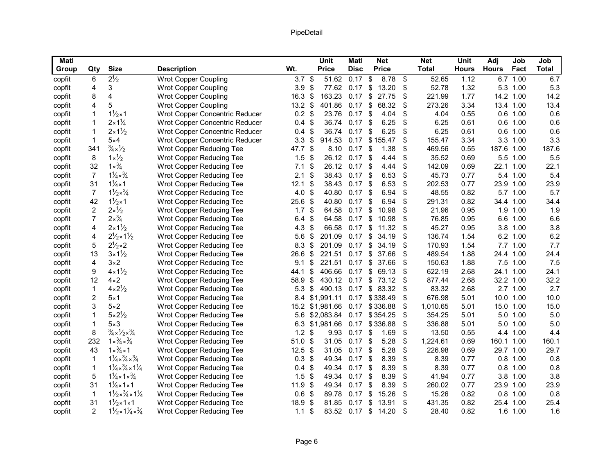| Matl   |                |                                                       |                                |                  |                           | <b>Unit</b>     | Matl        |                           | <b>Net</b>    |     | <b>Net</b>   | <b>Unit</b>  | Adj          | Job        | Job          |
|--------|----------------|-------------------------------------------------------|--------------------------------|------------------|---------------------------|-----------------|-------------|---------------------------|---------------|-----|--------------|--------------|--------------|------------|--------------|
| Group  | Qty            | <b>Size</b>                                           | <b>Description</b>             | Wt.              |                           | <b>Price</b>    | <b>Disc</b> |                           | <b>Price</b>  |     | <b>Total</b> | <b>Hours</b> | <b>Hours</b> | Fact       | <b>Total</b> |
| copfit | 6              | $2^{1/2}$                                             | <b>Wrot Copper Coupling</b>    | 3.7 <sup>°</sup> |                           | 51.62           | $0.17$ \$   |                           | 8.78          | -\$ | 52.65        | 1.12         |              | 6.7 1.00   | 6.7          |
| copfit | 4              | 3                                                     | Wrot Copper Coupling           | 3.9              | \$                        | 77.62           | 0.17        | \$                        | 13.20         | \$  | 52.78        | 1.32         |              | 5.3 1.00   | 5.3          |
| copfit | 8              | $\overline{\mathbf{4}}$                               | <b>Wrot Copper Coupling</b>    | 16.3             | \$                        | 163.23          | 0.17        | \$                        | 27.75         | \$  | 221.99       | 1.77         |              | 14.2 1.00  | 14.2         |
| copfit | 4              | 5                                                     | <b>Wrot Copper Coupling</b>    | $13.2$ \$        |                           | 401.86          | 0.17        | $\boldsymbol{\mathsf{S}}$ | 68.32         | \$  | 273.26       | 3.34         |              | 13.4 1.00  | 13.4         |
| copfit | 1              | $1\frac{1}{2} \times 1$                               | Wrot Copper Concentric Reducer | $0.2$ \$         |                           | 23.76           | 0.17        | \$                        | 4.04          | \$  | 4.04         | 0.55         |              | $0.6$ 1.00 | 0.6          |
| copfit | 1              | $2 \times 1\frac{1}{4}$                               | Wrot Copper Concentric Reducer | 0.4              | $\boldsymbol{\mathsf{S}}$ | 36.74           | 0.17        | \$                        | 6.25          | \$  | 6.25         | 0.61         |              | $0.6$ 1.00 | 0.6          |
| copfit | 1              | $2 \times 1\frac{1}{2}$                               | Wrot Copper Concentric Reducer | 0.4              | \$                        | 36.74           | 0.17        | \$                        | 6.25          | \$  | 6.25         | 0.61         |              | $0.6$ 1.00 | 0.6          |
| copfit | 1              | $5\times4$                                            | Wrot Copper Concentric Reducer | 3.3              | \$                        | 914.53          | 0.17        |                           | \$155.47      | \$  | 155.47       | 3.34         |              | 3.3 1.00   | 3.3          |
| copfit | 341            | $\frac{3}{4} \times \frac{1}{2}$                      | Wrot Copper Reducing Tee       | 47.7 \$          |                           | 8.10            | 0.17        | \$                        | 1.38          | \$  | 469.56       | 0.55         | 187.6 1.00   |            | 187.6        |
| copfit | 8              | $1 \times \frac{1}{2}$                                | Wrot Copper Reducing Tee       | 1.5              | \$                        | 26.12           | 0.17        | - \$                      | 4.44          | \$  | 35.52        | 0.69         |              | 5.5 1.00   | 5.5          |
| copfit | 32             | $1 \times \frac{3}{4}$                                | Wrot Copper Reducing Tee       | 7.1              | \$                        | 26.12           | 0.17        | -\$                       | 4.44          | \$  | 142.09       | 0.69         |              | 22.1 1.00  | 22.1         |
| copfit | 7              | $1\frac{1}{4} \times \frac{3}{4}$                     | Wrot Copper Reducing Tee       | 2.1              | \$                        | 38.43           | $0.17$ \$   |                           | 6.53          | \$  | 45.73        | 0.77         |              | 5.4 1.00   | 5.4          |
| copfit | 31             | $1\frac{1}{4} \times 1$                               | Wrot Copper Reducing Tee       | 12.1             | \$                        | 38.43           | 0.17        | \$                        | 6.53          | \$  | 202.53       | 0.77         |              | 23.9 1.00  | 23.9         |
| copfit | $\overline{7}$ | $1\frac{1}{2} \times \frac{3}{4}$                     | Wrot Copper Reducing Tee       | 4.0 $$$          |                           | 40.80           | $0.17$ \$   |                           | 6.94          | \$  | 48.55        | 0.82         |              | 5.7 1.00   | 5.7          |
| copfit | 42             | $1\frac{1}{2} \times 1$                               | Wrot Copper Reducing Tee       | $25.6$ \$        |                           | 40.80           | 0.17        | \$                        | 6.94          | \$  | 291.31       | 0.82         |              | 34.4 1.00  | 34.4         |
| copfit | 2              | $2 \times \frac{1}{2}$                                | Wrot Copper Reducing Tee       | 1.7              | \$                        | 64.58           | 0.17        | \$                        | 10.98         | \$  | 21.96        | 0.95         |              | 1.9 1.00   | 1.9          |
| copfit | 7              | $2 \times \frac{3}{4}$                                | Wrot Copper Reducing Tee       | 6.4              | \$                        | 64.58           | 0.17        | \$                        | 10.98         | \$  | 76.85        | 0.95         |              | 6.6 1.00   | 6.6          |
| copfit | 4              | $2 \times 1\frac{1}{2}$                               | Wrot Copper Reducing Tee       | 4.3              | \$                        | 66.58           | 0.17        | \$                        | 11.32         | \$  | 45.27        | 0.95         |              | 3.8 1.00   | 3.8          |
| copfit | 4              | $2\frac{1}{2} \times 1\frac{1}{2}$                    | Wrot Copper Reducing Tee       | 5.6              | \$                        | 201.09          | 0.17        | \$                        | 34.19         | \$  | 136.74       | 1.54         |              | 6.2 1.00   | 6.2          |
| copfit | 5              | $2\frac{1}{2} \times 2$                               | Wrot Copper Reducing Tee       | 8.3              | \$                        | 201.09          | 0.17        |                           | \$34.19       | \$  | 170.93       | 1.54         |              | 7.7 1.00   | 7.7          |
| copfit | 13             | $3 \times 1\frac{1}{2}$                               | Wrot Copper Reducing Tee       | 26.6             | -\$                       | 221.51          | 0.17        |                           | \$37.66       | \$  | 489.54       | 1.88         |              | 24.4 1.00  | 24.4         |
| copfit | 4              | $3\times2$                                            | Wrot Copper Reducing Tee       | 9.1              | \$                        | 221.51          | 0.17        | $\frac{1}{2}$             | 37.66         | \$  | 150.63       | 1.88         |              | 7.5 1.00   | 7.5          |
| copfit | 9              | $4 \times 1\frac{1}{2}$                               | Wrot Copper Reducing Tee       | 44.1             | \$                        | 406.66          | 0.17        | \$                        | 69.13         | \$  | 622.19       | 2.68         |              | 24.1 1.00  | 24.1         |
| copfit | 12             | $4 \times 2$                                          | Wrot Copper Reducing Tee       | 58.9             | \$                        | 430.12          | 0.17        | $\sqrt[6]{3}$             | 73.12         | \$  | 877.44       | 2.68         | 32.2 1.00    |            | 32.2         |
| copfit | $\mathbf{1}$   | $4 \times 2\frac{1}{2}$                               | Wrot Copper Reducing Tee       | 5.3              | \$                        | 490.13          |             |                           | 0.17 \$ 83.32 | \$  | 83.32        | 2.68         |              | 2.7 1.00   | 2.7          |
| copfit | 2              | $5\times1$                                            | Wrot Copper Reducing Tee       |                  |                           | 8.4 \$1,991.11  |             |                           | 0.17 \$338.49 | \$  | 676.98       | 5.01         |              | 10.0 1.00  | 10.0         |
| copfit | 3              | $5\times2$                                            | Wrot Copper Reducing Tee       |                  |                           | 15.2 \$1,981.66 |             |                           | 0.17 \$336.88 | \$  | 1,010.65     | 5.01         |              | 15.0 1.00  | 15.0         |
| copfit | 1              | $5 \times 2\frac{1}{2}$                               | Wrot Copper Reducing Tee       | 5.6              |                           | \$2,083.84      | 0.17        |                           | \$354.25      | \$  | 354.25       | 5.01         |              | 5.0 1.00   | 5.0          |
| copfit | 1              | $5\times3$                                            | Wrot Copper Reducing Tee       | 6.3              |                           | \$1,981.66      | 0.17        |                           | \$336.88      | \$  | 336.88       | 5.01         |              | 5.0 1.00   | 5.0          |
| copfit | 8              | $\frac{3}{4} \times \frac{1}{2} \times \frac{3}{4}$   | Wrot Copper Reducing Tee       | $1.2$ \$         |                           | 9.93            | 0.17        | -\$                       | 1.69          | \$  | 13.50        | 0.55         |              | 4.4 1.00   | 4.4          |
| copfit | 232            | $1 \times \frac{3}{4} \times \frac{3}{4}$             | Wrot Copper Reducing Tee       | 51.0             | $\frac{1}{2}$             | 31.05           | 0.17        | -\$                       | 5.28          | \$  | 1,224.61     | 0.69         | 160.1 1.00   |            | 160.1        |
| copfit | 43             | $1 \times \frac{3}{4} \times 1$                       | Wrot Copper Reducing Tee       | $12.5$ \$        |                           | 31.05           | 0.17        | -\$                       | 5.28          | \$  | 226.98       | 0.69         |              | 29.7 1.00  | 29.7         |
| copfit | 1              | $1\frac{1}{4} \times \frac{3}{4} \times \frac{3}{4}$  | Wrot Copper Reducing Tee       | $0.3$ \$         |                           | 49.34           | 0.17        | \$                        | 8.39          | \$  | 8.39         | 0.77         |              | $0.8$ 1.00 | 0.8          |
| copfit | $\mathbf{1}$   | $1\frac{1}{4} \times \frac{3}{4} \times 1\frac{1}{4}$ | Wrot Copper Reducing Tee       | 0.4              | \$                        | 49.34           | $0.17$ \$   |                           | 8.39          | \$  | 8.39         | 0.77         |              | $0.8$ 1.00 | 0.8          |
| copfit | 5              | $1\frac{1}{4} \times 1 \times \frac{3}{4}$            | Wrot Copper Reducing Tee       | 1.5              | \$                        | 49.34           | 0.17        | -\$                       | 8.39          | \$  | 41.94        | 0.77         |              | 3.8 1.00   | 3.8          |
| copfit | 31             | $1\frac{1}{4} \times 1 \times 1$                      | Wrot Copper Reducing Tee       | 11.9             | $\sqrt[6]{\frac{1}{2}}$   | 49.34           | 0.17        | \$                        | 8.39          | \$  | 260.02       | 0.77         |              | 23.9 1.00  | 23.9         |
| copfit | 1              | $1\frac{1}{2} \times \frac{3}{4} \times 1\frac{1}{4}$ | Wrot Copper Reducing Tee       | 0.6              | \$                        | 89.78           | 0.17        | \$                        | 15.26         | \$  | 15.26        | 0.82         |              | $0.8$ 1.00 | 0.8          |
| copfit | 31             | $1\frac{1}{2} \times 1 \times 1$                      | Wrot Copper Reducing Tee       | 18.9             | \$                        | 81.85           | 0.17        | \$                        | 13.91         | \$  | 431.35       | 0.82         |              | 25.4 1.00  | 25.4         |
| copfit | $\overline{2}$ | $1\frac{1}{2} \times 1\frac{1}{4} \times \frac{3}{4}$ | Wrot Copper Reducing Tee       | 1.1              | \$                        | 83.52           | 0.17        | $\boldsymbol{\mathsf{S}}$ | 14.20         | \$  | 28.40        | 0.82         |              | 1.6 1.00   | 1.6          |